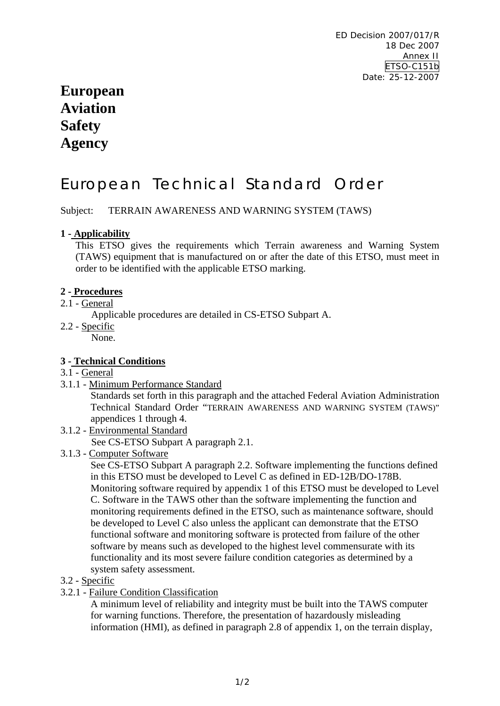# **European Aviation Safety Agency**

# European Technical Standard Order

Subject: TERRAIN AWARENESS AND WARNING SYSTEM (TAWS)

# **1 - Applicability**

This ETSO gives the requirements which Terrain awareness and Warning System (TAWS) equipment that is manufactured on or after the date of this ETSO, must meet in order to be identified with the applicable ETSO marking.

# **2 - Procedures**

2.1 - General

Applicable procedures are detailed in CS-ETSO Subpart A.

2.2 - Specific

None.

# **3 - Technical Conditions**

- 3.1 General
- 3.1.1 Minimum Performance Standard

Standards set forth in this paragraph and the attached Federal Aviation Administration Technical Standard Order "TERRAIN AWARENESS AND WARNING SYSTEM (TAWS)" appendices 1 through 4.

3.1.2 - Environmental Standard

See CS-ETSO Subpart A paragraph 2.1.

3.1.3 - Computer Software

See CS-ETSO Subpart A paragraph 2.2. Software implementing the functions defined in this ETSO must be developed to Level C as defined in ED-12B/DO-178B. Monitoring software required by appendix 1 of this ETSO must be developed to Level C. Software in the TAWS other than the software implementing the function and monitoring requirements defined in the ETSO, such as maintenance software, should be developed to Level C also unless the applicant can demonstrate that the ETSO functional software and monitoring software is protected from failure of the other software by means such as developed to the highest level commensurate with its functionality and its most severe failure condition categories as determined by a system safety assessment.

# 3.2 - Specific

3.2.1 - Failure Condition Classification

A minimum level of reliability and integrity must be built into the TAWS computer for warning functions. Therefore, the presentation of hazardously misleading information (HMI), as defined in paragraph 2.8 of appendix 1, on the terrain display,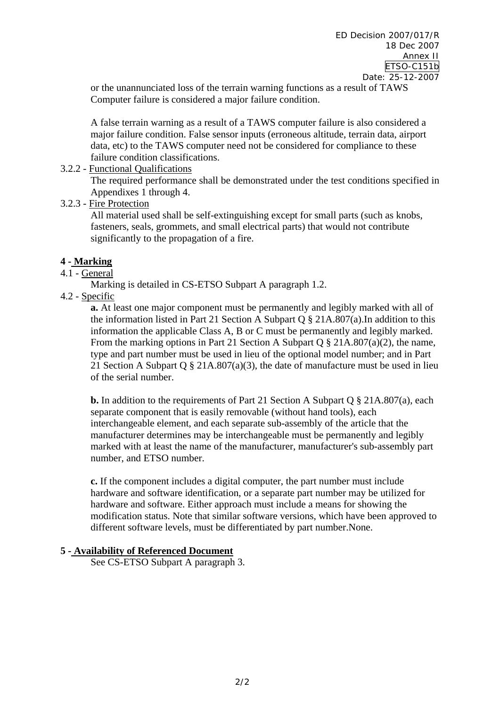or the unannunciated loss of the terrain warning functions as a result of TAWS Computer failure is considered a major failure condition.

A false terrain warning as a result of a TAWS computer failure is also considered a major failure condition. False sensor inputs (erroneous altitude, terrain data, airport data, etc) to the TAWS computer need not be considered for compliance to these failure condition classifications.

### 3.2.2 - Functional Qualifications

The required performance shall be demonstrated under the test conditions specified in Appendixes 1 through 4.

3.2.3 - Fire Protection

All material used shall be self-extinguishing except for small parts (such as knobs, fasteners, seals, grommets, and small electrical parts) that would not contribute significantly to the propagation of a fire.

### **4 - Marking**

# 4.1 - General

Marking is detailed in CS-ETSO Subpart A paragraph 1.2.

4.2 - Specific

**a.** At least one major component must be permanently and legibly marked with all of the information listed in Part 21 Section A Subpart Q § 21A.807(a).In addition to this information the applicable Class A, B or C must be permanently and legibly marked. From the marking options in Part 21 Section A Subpart Q § 21A.807(a)(2), the name, type and part number must be used in lieu of the optional model number; and in Part 21 Section A Subpart O  $\S$  21A.807(a)(3), the date of manufacture must be used in lieu of the serial number.

**b.** In addition to the requirements of Part 21 Section A Subpart Q § 21A.807(a), each separate component that is easily removable (without hand tools), each interchangeable element, and each separate sub-assembly of the article that the manufacturer determines may be interchangeable must be permanently and legibly marked with at least the name of the manufacturer, manufacturer's sub-assembly part number, and ETSO number.

**c.** If the component includes a digital computer, the part number must include hardware and software identification, or a separate part number may be utilized for hardware and software. Either approach must include a means for showing the modification status. Note that similar software versions, which have been approved to different software levels, must be differentiated by part number.None.

### **5 - Availability of Referenced Document**

See CS-ETSO Subpart A paragraph 3.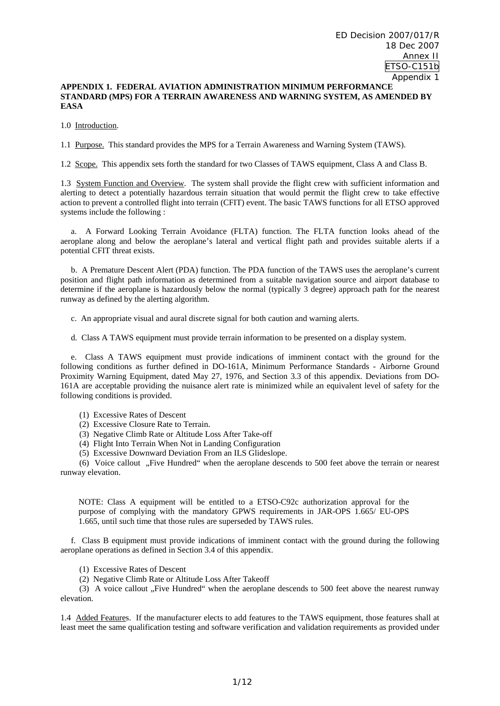#### **APPENDIX 1. FEDERAL AVIATION ADMINISTRATION MINIMUM PERFORMANCE STANDARD (MPS) FOR A TERRAIN AWARENESS AND WARNING SYSTEM, AS AMENDED BY EASA**

1.0 Introduction.

1.1 Purpose. This standard provides the MPS for a Terrain Awareness and Warning System (TAWS).

1.2 Scope. This appendix sets forth the standard for two Classes of TAWS equipment, Class A and Class B.

1.3 System Function and Overview. The system shall provide the flight crew with sufficient information and alerting to detect a potentially hazardous terrain situation that would permit the flight crew to take effective action to prevent a controlled flight into terrain (CFIT) event. The basic TAWS functions for all ETSO approved systems include the following :

 a. A Forward Looking Terrain Avoidance (FLTA) function. The FLTA function looks ahead of the aeroplane along and below the aeroplane's lateral and vertical flight path and provides suitable alerts if a potential CFIT threat exists.

 b. A Premature Descent Alert (PDA) function. The PDA function of the TAWS uses the aeroplane's current position and flight path information as determined from a suitable navigation source and airport database to determine if the aeroplane is hazardously below the normal (typically 3 degree) approach path for the nearest runway as defined by the alerting algorithm.

c. An appropriate visual and aural discrete signal for both caution and warning alerts.

d. Class A TAWS equipment must provide terrain information to be presented on a display system.

 e. Class A TAWS equipment must provide indications of imminent contact with the ground for the following conditions as further defined in DO-161A, Minimum Performance Standards - Airborne Ground Proximity Warning Equipment, dated May 27, 1976, and Section 3.3 of this appendix. Deviations from DO-161A are acceptable providing the nuisance alert rate is minimized while an equivalent level of safety for the following conditions is provided.

(1) Excessive Rates of Descent

- (2) Excessive Closure Rate to Terrain.
- (3) Negative Climb Rate or Altitude Loss After Take-off
- (4) Flight Into Terrain When Not in Landing Configuration
- (5) Excessive Downward Deviation From an ILS Glideslope.

(6) Voice callout "Five Hundred" when the aeroplane descends to 500 feet above the terrain or nearest runway elevation.

NOTE: Class A equipment will be entitled to a ETSO-C92c authorization approval for the purpose of complying with the mandatory GPWS requirements in JAR-OPS 1.665/ EU-OPS 1.665, until such time that those rules are superseded by TAWS rules.

 f. Class B equipment must provide indications of imminent contact with the ground during the following aeroplane operations as defined in Section 3.4 of this appendix.

(1) Excessive Rates of Descent

(2) Negative Climb Rate or Altitude Loss After Takeoff

(3) A voice callout "Five Hundred" when the aeroplane descends to 500 feet above the nearest runway elevation.

1.4 Added Features. If the manufacturer elects to add features to the TAWS equipment, those features shall at least meet the same qualification testing and software verification and validation requirements as provided under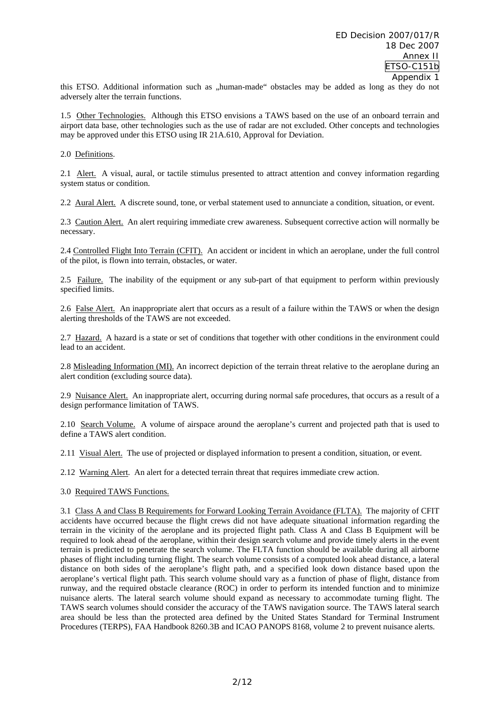this ETSO. Additional information such as "human-made" obstacles may be added as long as they do not adversely alter the terrain functions.

1.5 Other Technologies. Although this ETSO envisions a TAWS based on the use of an onboard terrain and airport data base, other technologies such as the use of radar are not excluded. Other concepts and technologies may be approved under this ETSO using IR 21A.610, Approval for Deviation.

2.0 Definitions.

2.1 Alert. A visual, aural, or tactile stimulus presented to attract attention and convey information regarding system status or condition.

2.2 Aural Alert. A discrete sound, tone, or verbal statement used to annunciate a condition, situation, or event.

2.3 Caution Alert. An alert requiring immediate crew awareness. Subsequent corrective action will normally be necessary.

2.4 Controlled Flight Into Terrain (CFIT). An accident or incident in which an aeroplane, under the full control of the pilot, is flown into terrain, obstacles, or water.

2.5 Failure. The inability of the equipment or any sub-part of that equipment to perform within previously specified limits.

2.6 False Alert. An inappropriate alert that occurs as a result of a failure within the TAWS or when the design alerting thresholds of the TAWS are not exceeded.

2.7 Hazard. A hazard is a state or set of conditions that together with other conditions in the environment could lead to an accident.

2.8 Misleading Information (MI). An incorrect depiction of the terrain threat relative to the aeroplane during an alert condition (excluding source data).

2.9 Nuisance Alert. An inappropriate alert, occurring during normal safe procedures, that occurs as a result of a design performance limitation of TAWS.

2.10 Search Volume. A volume of airspace around the aeroplane's current and projected path that is used to define a TAWS alert condition.

2.11 Visual Alert. The use of projected or displayed information to present a condition, situation, or event.

2.12 Warning Alert. An alert for a detected terrain threat that requires immediate crew action.

3.0 Required TAWS Functions.

3.1 Class A and Class B Requirements for Forward Looking Terrain Avoidance (FLTA). The majority of CFIT accidents have occurred because the flight crews did not have adequate situational information regarding the terrain in the vicinity of the aeroplane and its projected flight path. Class A and Class B Equipment will be required to look ahead of the aeroplane, within their design search volume and provide timely alerts in the event terrain is predicted to penetrate the search volume. The FLTA function should be available during all airborne phases of flight including turning flight. The search volume consists of a computed look ahead distance, a lateral distance on both sides of the aeroplane's flight path, and a specified look down distance based upon the aeroplane's vertical flight path. This search volume should vary as a function of phase of flight, distance from runway, and the required obstacle clearance (ROC) in order to perform its intended function and to minimize nuisance alerts. The lateral search volume should expand as necessary to accommodate turning flight. The TAWS search volumes should consider the accuracy of the TAWS navigation source. The TAWS lateral search area should be less than the protected area defined by the United States Standard for Terminal Instrument Procedures (TERPS), FAA Handbook 8260.3B and ICAO PANOPS 8168, volume 2 to prevent nuisance alerts.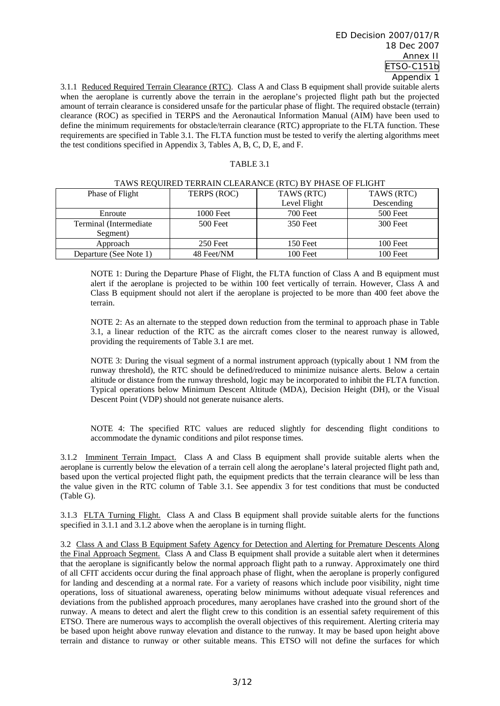3.1.1 Reduced Required Terrain Clearance (RTC). Class A and Class B equipment shall provide suitable alerts when the aeroplane is currently above the terrain in the aeroplane's projected flight path but the projected amount of terrain clearance is considered unsafe for the particular phase of flight. The required obstacle (terrain) clearance (ROC) as specified in TERPS and the Aeronautical Information Manual (AIM) have been used to define the minimum requirements for obstacle/terrain clearance (RTC) appropriate to the FLTA function. These requirements are specified in Table 3.1. The FLTA function must be tested to verify the alerting algorithms meet the test conditions specified in Appendix 3, Tables A, B, C, D, E, and F.

#### TABLE 3.1

| Phase of Flight         | TERPS (ROC) | TAWS (RTC)   | TAWS (RTC) |
|-------------------------|-------------|--------------|------------|
|                         |             | Level Flight | Descending |
| Enroute                 | 1000 Feet   | 700 Feet     | 500 Feet   |
| Terminal (Intermediate) | 500 Feet    | 350 Feet     | 300 Feet   |
| Segment)                |             |              |            |
| Approach                | 250 Feet    | 150 Feet     | 100 Feet   |
| Departure (See Note 1)  | 48 Feet/NM  | 100 Feet     | 100 Feet   |

#### TAWS REQUIRED TERRAIN CLEARANCE (RTC) BY PHASE OF FLIGHT

NOTE 1: During the Departure Phase of Flight, the FLTA function of Class A and B equipment must alert if the aeroplane is projected to be within 100 feet vertically of terrain. However, Class A and Class B equipment should not alert if the aeroplane is projected to be more than 400 feet above the terrain.

NOTE 2: As an alternate to the stepped down reduction from the terminal to approach phase in Table 3.1, a linear reduction of the RTC as the aircraft comes closer to the nearest runway is allowed, providing the requirements of Table 3.1 are met.

NOTE 3: During the visual segment of a normal instrument approach (typically about 1 NM from the runway threshold), the RTC should be defined/reduced to minimize nuisance alerts. Below a certain altitude or distance from the runway threshold, logic may be incorporated to inhibit the FLTA function. Typical operations below Minimum Descent Altitude (MDA), Decision Height (DH), or the Visual Descent Point (VDP) should not generate nuisance alerts.

NOTE 4: The specified RTC values are reduced slightly for descending flight conditions to accommodate the dynamic conditions and pilot response times.

3.1.2 Imminent Terrain Impact. Class A and Class B equipment shall provide suitable alerts when the aeroplane is currently below the elevation of a terrain cell along the aeroplane's lateral projected flight path and, based upon the vertical projected flight path, the equipment predicts that the terrain clearance will be less than the value given in the RTC column of Table 3.1. See appendix 3 for test conditions that must be conducted (Table G).

3.1.3 FLTA Turning Flight. Class A and Class B equipment shall provide suitable alerts for the functions specified in 3.1.1 and 3.1.2 above when the aeroplane is in turning flight.

3.2 Class A and Class B Equipment Safety Agency for Detection and Alerting for Premature Descents Along the Final Approach Segment. Class A and Class B equipment shall provide a suitable alert when it determines that the aeroplane is significantly below the normal approach flight path to a runway. Approximately one third of all CFIT accidents occur during the final approach phase of flight, when the aeroplane is properly configured for landing and descending at a normal rate. For a variety of reasons which include poor visibility, night time operations, loss of situational awareness, operating below minimums without adequate visual references and deviations from the published approach procedures, many aeroplanes have crashed into the ground short of the runway. A means to detect and alert the flight crew to this condition is an essential safety requirement of this ETSO. There are numerous ways to accomplish the overall objectives of this requirement. Alerting criteria may be based upon height above runway elevation and distance to the runway. It may be based upon height above terrain and distance to runway or other suitable means. This ETSO will not define the surfaces for which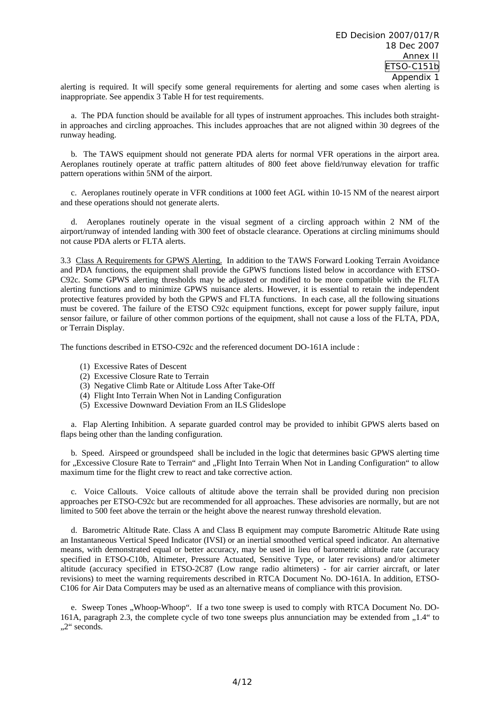alerting is required. It will specify some general requirements for alerting and some cases when alerting is inappropriate. See appendix 3 Table H for test requirements.

 a. The PDA function should be available for all types of instrument approaches. This includes both straightin approaches and circling approaches. This includes approaches that are not aligned within 30 degrees of the runway heading.

 b. The TAWS equipment should not generate PDA alerts for normal VFR operations in the airport area. Aeroplanes routinely operate at traffic pattern altitudes of 800 feet above field/runway elevation for traffic pattern operations within 5NM of the airport.

 c. Aeroplanes routinely operate in VFR conditions at 1000 feet AGL within 10-15 NM of the nearest airport and these operations should not generate alerts.

 d. Aeroplanes routinely operate in the visual segment of a circling approach within 2 NM of the airport/runway of intended landing with 300 feet of obstacle clearance. Operations at circling minimums should not cause PDA alerts or FLTA alerts.

3.3 Class A Requirements for GPWS Alerting. In addition to the TAWS Forward Looking Terrain Avoidance and PDA functions, the equipment shall provide the GPWS functions listed below in accordance with ETSO-C92c. Some GPWS alerting thresholds may be adjusted or modified to be more compatible with the FLTA alerting functions and to minimize GPWS nuisance alerts. However, it is essential to retain the independent protective features provided by both the GPWS and FLTA functions. In each case, all the following situations must be covered. The failure of the ETSO C92c equipment functions, except for power supply failure, input sensor failure, or failure of other common portions of the equipment, shall not cause a loss of the FLTA, PDA, or Terrain Display.

The functions described in ETSO-C92c and the referenced document DO-161A include :

- (1) Excessive Rates of Descent
- (2) Excessive Closure Rate to Terrain
- (3) Negative Climb Rate or Altitude Loss After Take-Off
- (4) Flight Into Terrain When Not in Landing Configuration
- (5) Excessive Downward Deviation From an ILS Glideslope

 a. Flap Alerting Inhibition. A separate guarded control may be provided to inhibit GPWS alerts based on flaps being other than the landing configuration.

 b. Speed. Airspeed or groundspeed shall be included in the logic that determines basic GPWS alerting time for "Excessive Closure Rate to Terrain" and "Flight Into Terrain When Not in Landing Configuration" to allow maximum time for the flight crew to react and take corrective action.

 c. Voice Callouts. Voice callouts of altitude above the terrain shall be provided during non precision approaches per ETSO-C92c but are recommended for all approaches. These advisories are normally, but are not limited to 500 feet above the terrain or the height above the nearest runway threshold elevation.

 d. Barometric Altitude Rate. Class A and Class B equipment may compute Barometric Altitude Rate using an Instantaneous Vertical Speed Indicator (IVSI) or an inertial smoothed vertical speed indicator. An alternative means, with demonstrated equal or better accuracy, may be used in lieu of barometric altitude rate (accuracy specified in ETSO-C10b, Altimeter, Pressure Actuated, Sensitive Type, or later revisions) and/or altimeter altitude (accuracy specified in ETSO-2C87 (Low range radio altimeters) - for air carrier aircraft, or later revisions) to meet the warning requirements described in RTCA Document No. DO-161A. In addition, ETSO-C106 for Air Data Computers may be used as an alternative means of compliance with this provision.

e. Sweep Tones "Whoop-Whoop". If a two tone sweep is used to comply with RTCA Document No. DO-161A, paragraph 2.3, the complete cycle of two tone sweeps plus annunciation may be extended from  $1.4$ " to "2" seconds.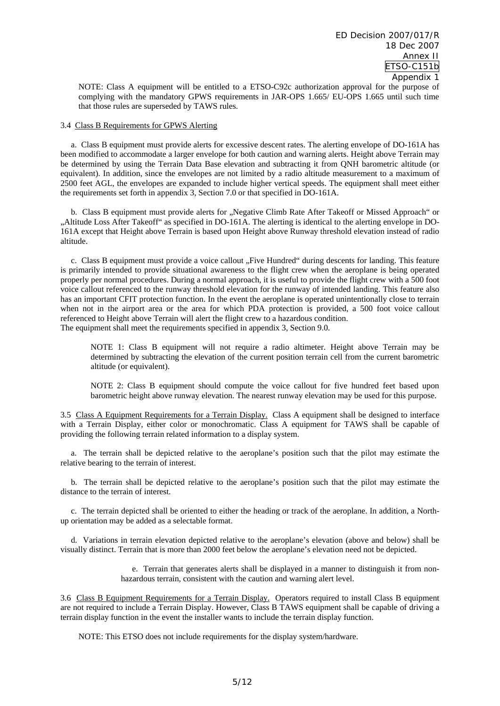NOTE: Class A equipment will be entitled to a ETSO-C92c authorization approval for the purpose of complying with the mandatory GPWS requirements in JAR-OPS 1.665/ EU-OPS 1.665 until such time that those rules are superseded by TAWS rules.

#### 3.4 Class B Requirements for GPWS Alerting

 a. Class B equipment must provide alerts for excessive descent rates. The alerting envelope of DO-161A has been modified to accommodate a larger envelope for both caution and warning alerts. Height above Terrain may be determined by using the Terrain Data Base elevation and subtracting it from QNH barometric altitude (or equivalent). In addition, since the envelopes are not limited by a radio altitude measurement to a maximum of 2500 feet AGL, the envelopes are expanded to include higher vertical speeds. The equipment shall meet either the requirements set forth in appendix 3, Section 7.0 or that specified in DO-161A.

b. Class B equipment must provide alerts for "Negative Climb Rate After Takeoff or Missed Approach" or "Altitude Loss After Takeoff" as specified in DO-161A. The alerting is identical to the alerting envelope in DO-161A except that Height above Terrain is based upon Height above Runway threshold elevation instead of radio altitude.

c. Class B equipment must provide a voice callout "Five Hundred" during descents for landing. This feature is primarily intended to provide situational awareness to the flight crew when the aeroplane is being operated properly per normal procedures. During a normal approach, it is useful to provide the flight crew with a 500 foot voice callout referenced to the runway threshold elevation for the runway of intended landing. This feature also has an important CFIT protection function. In the event the aeroplane is operated unintentionally close to terrain when not in the airport area or the area for which PDA protection is provided, a 500 foot voice callout referenced to Height above Terrain will alert the flight crew to a hazardous condition. The equipment shall meet the requirements specified in appendix 3, Section 9.0.

NOTE 1: Class B equipment will not require a radio altimeter. Height above Terrain may be determined by subtracting the elevation of the current position terrain cell from the current barometric altitude (or equivalent).

NOTE 2: Class B equipment should compute the voice callout for five hundred feet based upon barometric height above runway elevation. The nearest runway elevation may be used for this purpose.

3.5 Class A Equipment Requirements for a Terrain Display. Class A equipment shall be designed to interface with a Terrain Display, either color or monochromatic. Class A equipment for TAWS shall be capable of providing the following terrain related information to a display system.

 a. The terrain shall be depicted relative to the aeroplane's position such that the pilot may estimate the relative bearing to the terrain of interest.

 b. The terrain shall be depicted relative to the aeroplane's position such that the pilot may estimate the distance to the terrain of interest.

 c. The terrain depicted shall be oriented to either the heading or track of the aeroplane. In addition, a Northup orientation may be added as a selectable format.

 d. Variations in terrain elevation depicted relative to the aeroplane's elevation (above and below) shall be visually distinct. Terrain that is more than 2000 feet below the aeroplane's elevation need not be depicted.

> e. Terrain that generates alerts shall be displayed in a manner to distinguish it from nonhazardous terrain, consistent with the caution and warning alert level.

3.6 Class B Equipment Requirements for a Terrain Display. Operators required to install Class B equipment are not required to include a Terrain Display. However, Class B TAWS equipment shall be capable of driving a terrain display function in the event the installer wants to include the terrain display function.

NOTE: This ETSO does not include requirements for the display system/hardware.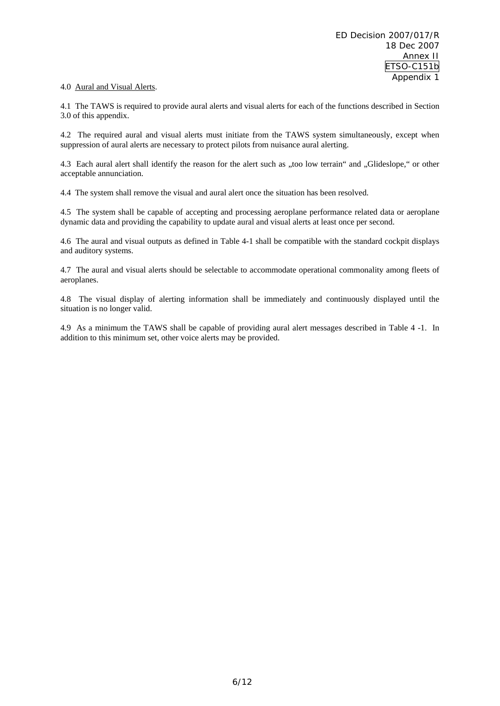#### 4.0 Aural and Visual Alerts.

4.1 The TAWS is required to provide aural alerts and visual alerts for each of the functions described in Section 3.0 of this appendix.

4.2 The required aural and visual alerts must initiate from the TAWS system simultaneously, except when suppression of aural alerts are necessary to protect pilots from nuisance aural alerting.

4.3 Each aural alert shall identify the reason for the alert such as "too low terrain" and "Glideslope," or other acceptable annunciation.

4.4 The system shall remove the visual and aural alert once the situation has been resolved.

4.5 The system shall be capable of accepting and processing aeroplane performance related data or aeroplane dynamic data and providing the capability to update aural and visual alerts at least once per second.

4.6 The aural and visual outputs as defined in Table 4-1 shall be compatible with the standard cockpit displays and auditory systems.

4.7 The aural and visual alerts should be selectable to accommodate operational commonality among fleets of aeroplanes.

4.8 The visual display of alerting information shall be immediately and continuously displayed until the situation is no longer valid.

4.9 As a minimum the TAWS shall be capable of providing aural alert messages described in Table 4 -1. In addition to this minimum set, other voice alerts may be provided.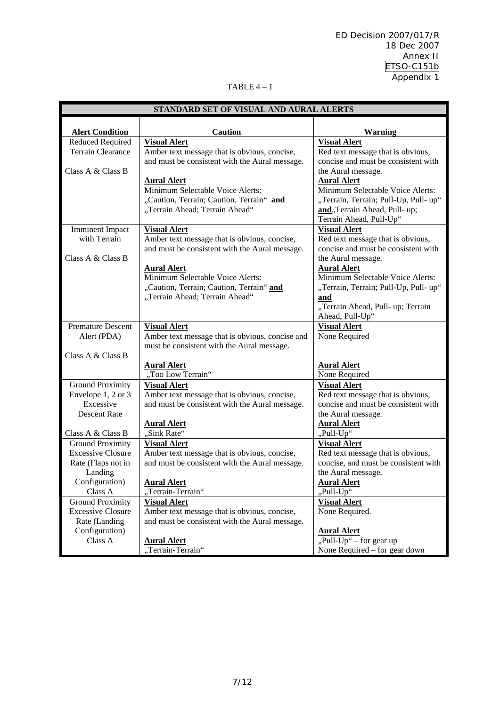#### TABLE 4 – 1

|                                       | STANDARD SET OF VISUAL AND AURAL ALERTS                                                        |                                                                          |  |  |  |
|---------------------------------------|------------------------------------------------------------------------------------------------|--------------------------------------------------------------------------|--|--|--|
|                                       |                                                                                                |                                                                          |  |  |  |
| <b>Alert Condition</b>                | <b>Caution</b>                                                                                 | <b>Warning</b>                                                           |  |  |  |
| Reduced Required<br>Terrain Clearance | <b>Visual Alert</b>                                                                            | <b>Visual Alert</b>                                                      |  |  |  |
|                                       | Amber text message that is obvious, concise,<br>and must be consistent with the Aural message. | Red text message that is obvious,<br>concise and must be consistent with |  |  |  |
| Class A & Class B                     |                                                                                                | the Aural message.                                                       |  |  |  |
|                                       | <b>Aural Alert</b>                                                                             | <b>Aural Alert</b>                                                       |  |  |  |
|                                       | Minimum Selectable Voice Alerts:                                                               | Minimum Selectable Voice Alerts:                                         |  |  |  |
|                                       | "Caution, Terrain; Caution, Terrain" and                                                       | "Terrain, Terrain; Pull-Up, Pull-up"                                     |  |  |  |
|                                       | "Terrain Ahead; Terrain Ahead"                                                                 | and, Terrain Ahead, Pull- up;                                            |  |  |  |
|                                       |                                                                                                | Terrain Ahead, Pull-Up"                                                  |  |  |  |
| <b>Imminent Impact</b>                | <b>Visual Alert</b>                                                                            | <b>Visual Alert</b>                                                      |  |  |  |
| with Terrain                          | Amber text message that is obvious, concise,                                                   | Red text message that is obvious,                                        |  |  |  |
|                                       | and must be consistent with the Aural message.                                                 | concise and must be consistent with                                      |  |  |  |
| Class A & Class B                     |                                                                                                | the Aural message.                                                       |  |  |  |
|                                       | <b>Aural Alert</b>                                                                             | <b>Aural Alert</b>                                                       |  |  |  |
|                                       | Minimum Selectable Voice Alerts:                                                               | Minimum Selectable Voice Alerts:                                         |  |  |  |
|                                       | "Caution, Terrain; Caution, Terrain" and                                                       | "Terrain, Terrain; Pull-Up, Pull-up"                                     |  |  |  |
|                                       | "Terrain Ahead; Terrain Ahead"                                                                 | and                                                                      |  |  |  |
|                                       |                                                                                                | "Terrain Ahead, Pull- up; Terrain                                        |  |  |  |
|                                       |                                                                                                | Ahead, Pull-Up"                                                          |  |  |  |
| <b>Premature Descent</b>              | <b>Visual Alert</b>                                                                            | <b>Visual Alert</b>                                                      |  |  |  |
| Alert (PDA)                           | Amber text message that is obvious, concise and                                                | None Required                                                            |  |  |  |
| Class A & Class B                     | must be consistent with the Aural message.                                                     |                                                                          |  |  |  |
|                                       | <b>Aural Alert</b>                                                                             | <b>Aural Alert</b>                                                       |  |  |  |
|                                       | "Too Low Terrain"                                                                              | None Required                                                            |  |  |  |
| <b>Ground Proximity</b>               | <b>Visual Alert</b>                                                                            | <b>Visual Alert</b>                                                      |  |  |  |
| Envelope 1, 2 or 3                    | Amber text message that is obvious, concise,                                                   | Red text message that is obvious,                                        |  |  |  |
| Excessive                             | and must be consistent with the Aural message.                                                 | concise and must be consistent with                                      |  |  |  |
| <b>Descent Rate</b>                   |                                                                                                | the Aural message.                                                       |  |  |  |
|                                       | <b>Aural Alert</b>                                                                             | <b>Aural Alert</b>                                                       |  |  |  |
| Class A & Class B                     | "Sink Rate"                                                                                    | "Pull-Up"                                                                |  |  |  |
| <b>Ground Proximity</b>               | <b>Visual Alert</b>                                                                            | <b>Visual Alert</b>                                                      |  |  |  |
| <b>Excessive Closure</b>              | Amber text message that is obvious, concise,                                                   | Red text message that is obvious,                                        |  |  |  |
| Rate (Flaps not in                    | and must be consistent with the Aural message.                                                 | concise, and must be consistent with                                     |  |  |  |
| Landing                               |                                                                                                | the Aural message.                                                       |  |  |  |
| Configuration)                        | <b>Aural Alert</b>                                                                             | <b>Aural Alert</b>                                                       |  |  |  |
| Class A                               | ,Terrain-Terrain"                                                                              | "Pull-Up"                                                                |  |  |  |
| <b>Ground Proximity</b>               | <b>Visual Alert</b>                                                                            | <b>Visual Alert</b>                                                      |  |  |  |
| <b>Excessive Closure</b>              | Amber text message that is obvious, concise,                                                   | None Required.                                                           |  |  |  |
| Rate (Landing                         | and must be consistent with the Aural message.                                                 |                                                                          |  |  |  |
| Configuration)<br>Class A             |                                                                                                | <b>Aural Alert</b><br>"Pull-Up" – for gear up                            |  |  |  |
|                                       | <b>Aural Alert</b><br>"Terrain-Terrain"                                                        | None Required – for gear down                                            |  |  |  |
|                                       |                                                                                                |                                                                          |  |  |  |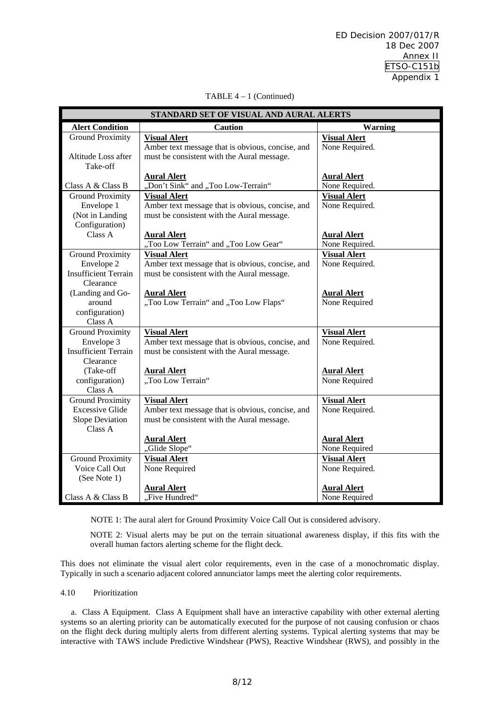ED Decision 2007/017/R 18 Dec 2007 Annex II ETSO-C151b Appendix 1

| STANDARD SET OF VISUAL AND AURAL ALERTS |                                                  |                     |  |  |  |  |
|-----------------------------------------|--------------------------------------------------|---------------------|--|--|--|--|
| <b>Alert Condition</b>                  | <b>Caution</b>                                   | <b>Warning</b>      |  |  |  |  |
| <b>Ground Proximity</b>                 | <b>Visual Alert</b>                              | <b>Visual Alert</b> |  |  |  |  |
|                                         | Amber text message that is obvious, concise, and | None Required.      |  |  |  |  |
| Altitude Loss after                     | must be consistent with the Aural message.       |                     |  |  |  |  |
| Take-off                                |                                                  |                     |  |  |  |  |
|                                         | <b>Aural Alert</b>                               | <b>Aural Alert</b>  |  |  |  |  |
| Class A & Class B                       | "Don't Sink" and "Too Low-Terrain"               | None Required.      |  |  |  |  |
| <b>Ground Proximity</b>                 | <b>Visual Alert</b>                              | <b>Visual Alert</b> |  |  |  |  |
| Envelope 1                              | Amber text message that is obvious, concise, and | None Required.      |  |  |  |  |
| (Not in Landing                         | must be consistent with the Aural message.       |                     |  |  |  |  |
| Configuration)                          |                                                  |                     |  |  |  |  |
| Class A                                 | <b>Aural Alert</b>                               | <b>Aural Alert</b>  |  |  |  |  |
|                                         | "Too Low Terrain" and "Too Low Gear"             | None Required.      |  |  |  |  |
| <b>Ground Proximity</b>                 | <b>Visual Alert</b>                              | <b>Visual Alert</b> |  |  |  |  |
| Envelope 2                              | Amber text message that is obvious, concise, and | None Required.      |  |  |  |  |
| <b>Insufficient Terrain</b>             | must be consistent with the Aural message.       |                     |  |  |  |  |
| Clearance                               |                                                  |                     |  |  |  |  |
| (Landing and Go-                        | <b>Aural Alert</b>                               | <b>Aural Alert</b>  |  |  |  |  |
| around                                  | "Too Low Terrain" and "Too Low Flaps"            | None Required       |  |  |  |  |
| configuration)                          |                                                  |                     |  |  |  |  |
| Class A                                 |                                                  |                     |  |  |  |  |
| <b>Ground Proximity</b>                 | <b>Visual Alert</b>                              | <b>Visual Alert</b> |  |  |  |  |
| Envelope 3                              | Amber text message that is obvious, concise, and | None Required.      |  |  |  |  |
| <b>Insufficient Terrain</b>             | must be consistent with the Aural message.       |                     |  |  |  |  |
| Clearance                               |                                                  |                     |  |  |  |  |
| (Take-off                               | <b>Aural Alert</b>                               | <b>Aural Alert</b>  |  |  |  |  |
| configuration)                          | "Too Low Terrain"                                | None Required       |  |  |  |  |
| Class A                                 |                                                  |                     |  |  |  |  |
| <b>Ground Proximity</b>                 | <b>Visual Alert</b>                              | <b>Visual Alert</b> |  |  |  |  |
| <b>Excessive Glide</b>                  | Amber text message that is obvious, concise, and | None Required.      |  |  |  |  |
| Slope Deviation                         | must be consistent with the Aural message.       |                     |  |  |  |  |
| Class A                                 |                                                  |                     |  |  |  |  |
|                                         | <b>Aural Alert</b>                               | <b>Aural Alert</b>  |  |  |  |  |
|                                         | "Glide Slope"                                    | None Required       |  |  |  |  |
| <b>Ground Proximity</b>                 | <b>Visual Alert</b>                              | <b>Visual Alert</b> |  |  |  |  |
| Voice Call Out                          | None Required                                    | None Required.      |  |  |  |  |
| (See Note 1)                            |                                                  |                     |  |  |  |  |
|                                         | <b>Aural Alert</b>                               | <b>Aural Alert</b>  |  |  |  |  |
| Class A & Class B                       | "Five Hundred"                                   | None Required       |  |  |  |  |

#### TABLE 4 – 1 (Continued)

NOTE 1: The aural alert for Ground Proximity Voice Call Out is considered advisory.

NOTE 2: Visual alerts may be put on the terrain situational awareness display, if this fits with the overall human factors alerting scheme for the flight deck.

This does not eliminate the visual alert color requirements, even in the case of a monochromatic display. Typically in such a scenario adjacent colored annunciator lamps meet the alerting color requirements.

#### 4.10 Prioritization

 a. Class A Equipment.Class A Equipment shall have an interactive capability with other external alerting systems so an alerting priority can be automatically executed for the purpose of not causing confusion or chaos on the flight deck during multiply alerts from different alerting systems. Typical alerting systems that may be interactive with TAWS include Predictive Windshear (PWS), Reactive Windshear (RWS), and possibly in the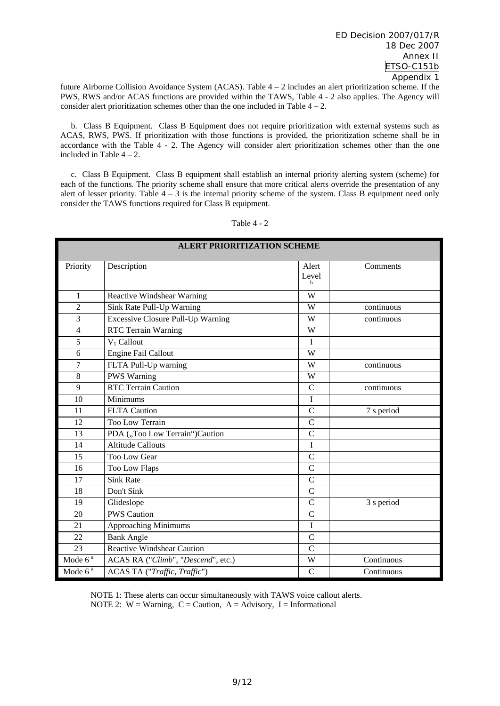future Airborne Collision Avoidance System (ACAS). Table 4 – 2 includes an alert prioritization scheme. If the PWS, RWS and/or ACAS functions are provided within the TAWS, Table 4 - 2 also applies. The Agency will consider alert prioritization schemes other than the one included in Table  $4 - 2$ .

 b. Class B Equipment. Class B Equipment does not require prioritization with external systems such as ACAS, RWS, PWS. If prioritization with those functions is provided, the prioritization scheme shall be in accordance with the Table 4 - 2. The Agency will consider alert prioritization schemes other than the one included in Table  $4 - 2$ .

 c. Class B Equipment. Class B equipment shall establish an internal priority alerting system (scheme) for each of the functions. The priority scheme shall ensure that more critical alerts override the presentation of any alert of lesser priority. Table  $4 - 3$  is the internal priority scheme of the system. Class B equipment need only consider the TAWS functions required for Class B equipment.

| <b>ALERT PRIORITIZATION SCHEME</b> |                                    |                               |            |  |
|------------------------------------|------------------------------------|-------------------------------|------------|--|
| Priority                           | Description                        | Alert<br>Level<br>$\mathbf b$ | Comments   |  |
| $\mathbf{1}$                       | Reactive Windshear Warning         | W                             |            |  |
| $\overline{2}$                     | Sink Rate Pull-Up Warning          | W                             | continuous |  |
| $\overline{3}$                     | Excessive Closure Pull-Up Warning  | W                             | continuous |  |
| 4                                  | RTC Terrain Warning                | W                             |            |  |
| 5                                  | $V_1$ Callout                      | Ī                             |            |  |
| 6                                  | <b>Engine Fail Callout</b>         | W                             |            |  |
| 7                                  | FLTA Pull-Up warning               | W                             | continuous |  |
| 8                                  | <b>PWS Warning</b>                 | W                             |            |  |
| 9                                  | <b>RTC</b> Terrain Caution         | $\mathbf C$                   | continuous |  |
| 10                                 | Minimums                           | I                             |            |  |
| 11                                 | <b>FLTA</b> Caution                | $\mathcal{C}$                 | 7 s period |  |
| 12                                 | <b>Too Low Terrain</b>             | $\overline{C}$                |            |  |
| 13                                 | PDA ("Too Low Terrain")Caution     | $\overline{C}$                |            |  |
| 14                                 | <b>Altitude Callouts</b>           | I                             |            |  |
| 15                                 | <b>Too Low Gear</b>                | $\mathbf C$                   |            |  |
| 16                                 | Too Low Flaps                      | $\overline{C}$                |            |  |
| 17                                 | <b>Sink Rate</b>                   | $\overline{C}$                |            |  |
| 18                                 | Don't Sink                         | $\mathcal{C}$                 |            |  |
| 19                                 | Glideslope                         | $\overline{C}$                | 3 s period |  |
| 20                                 | <b>PWS Caution</b>                 | $\overline{C}$                |            |  |
| 21                                 | Approaching Minimums               | I                             |            |  |
| 22                                 | <b>Bank Angle</b>                  | $\mathbf C$                   |            |  |
| $\overline{23}$                    | <b>Reactive Windshear Caution</b>  | $\overline{C}$                |            |  |
| Mode 6 <sup>a</sup>                | ACAS RA ("Climb", "Descend", etc.) | W                             | Continuous |  |
| Mode $6^a$                         | ACAS TA ("Traffic, Traffic")       | $\mathcal{C}$                 | Continuous |  |

Table 4 - 2

NOTE 1: These alerts can occur simultaneously with TAWS voice callout alerts. NOTE 2:  $W =$  Warning,  $C =$  Caution,  $A =$  Advisory, I = Informational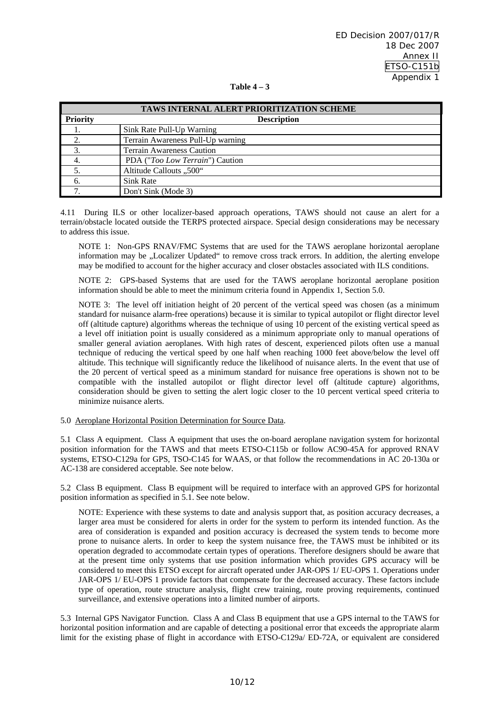|  | Table |  |  |
|--|-------|--|--|
|--|-------|--|--|

| TAWS INTERNAL ALERT PRIORITIZATION SCHEME |                                          |  |  |
|-------------------------------------------|------------------------------------------|--|--|
| <b>Priority</b>                           | <b>Description</b>                       |  |  |
|                                           | Sink Rate Pull-Up Warning                |  |  |
|                                           | Terrain Awareness Pull-Up warning        |  |  |
|                                           | <b>Terrain Awareness Caution</b>         |  |  |
|                                           | PDA (" <i>Too Low Terrain</i> ") Caution |  |  |
|                                           | Altitude Callouts "500"                  |  |  |
| 6.                                        | Sink Rate                                |  |  |
|                                           | Don't Sink (Mode 3)                      |  |  |

4.11 During ILS or other localizer-based approach operations, TAWS should not cause an alert for a terrain/obstacle located outside the TERPS protected airspace. Special design considerations may be necessary to address this issue.

NOTE 1: Non-GPS RNAV/FMC Systems that are used for the TAWS aeroplane horizontal aeroplane information may be "Localizer Updated" to remove cross track errors. In addition, the alerting envelope may be modified to account for the higher accuracy and closer obstacles associated with ILS conditions.

NOTE 2: GPS-based Systems that are used for the TAWS aeroplane horizontal aeroplane position information should be able to meet the minimum criteria found in Appendix 1, Section 5.0.

NOTE 3: The level off initiation height of 20 percent of the vertical speed was chosen (as a minimum standard for nuisance alarm-free operations) because it is similar to typical autopilot or flight director level off (altitude capture) algorithms whereas the technique of using 10 percent of the existing vertical speed as a level off initiation point is usually considered as a minimum appropriate only to manual operations of smaller general aviation aeroplanes. With high rates of descent, experienced pilots often use a manual technique of reducing the vertical speed by one half when reaching 1000 feet above/below the level off altitude. This technique will significantly reduce the likelihood of nuisance alerts. In the event that use of the 20 percent of vertical speed as a minimum standard for nuisance free operations is shown not to be compatible with the installed autopilot or flight director level off (altitude capture) algorithms, consideration should be given to setting the alert logic closer to the 10 percent vertical speed criteria to minimize nuisance alerts.

#### 5.0 Aeroplane Horizontal Position Determination for Source Data.

5.1 Class A equipment. Class A equipment that uses the on-board aeroplane navigation system for horizontal position information for the TAWS and that meets ETSO-C115b or follow AC90-45A for approved RNAV systems, ETSO-C129a for GPS, TSO-C145 for WAAS, or that follow the recommendations in AC 20-130a or AC-138 are considered acceptable. See note below.

5.2 Class B equipment. Class B equipment will be required to interface with an approved GPS for horizontal position information as specified in 5.1. See note below.

NOTE: Experience with these systems to date and analysis support that, as position accuracy decreases, a larger area must be considered for alerts in order for the system to perform its intended function. As the area of consideration is expanded and position accuracy is decreased the system tends to become more prone to nuisance alerts. In order to keep the system nuisance free, the TAWS must be inhibited or its operation degraded to accommodate certain types of operations. Therefore designers should be aware that at the present time only systems that use position information which provides GPS accuracy will be considered to meet this ETSO except for aircraft operated under JAR-OPS 1/ EU-OPS 1. Operations under JAR-OPS 1/ EU-OPS 1 provide factors that compensate for the decreased accuracy. These factors include type of operation, route structure analysis, flight crew training, route proving requirements, continued surveillance, and extensive operations into a limited number of airports.

5.3 Internal GPS Navigator Function. Class A and Class B equipment that use a GPS internal to the TAWS for horizontal position information and are capable of detecting a positional error that exceeds the appropriate alarm limit for the existing phase of flight in accordance with ETSO-C129a/ ED-72A, or equivalent are considered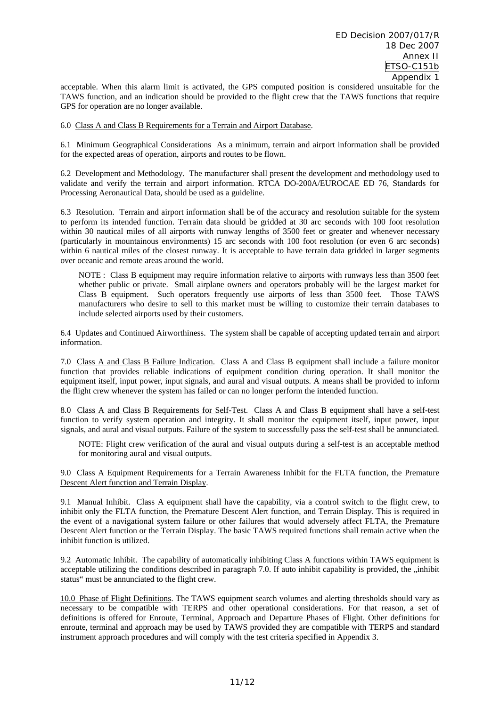acceptable. When this alarm limit is activated, the GPS computed position is considered unsuitable for the TAWS function, and an indication should be provided to the flight crew that the TAWS functions that require GPS for operation are no longer available.

6.0 Class A and Class B Requirements for a Terrain and Airport Database.

6.1 Minimum Geographical Considerations As a minimum, terrain and airport information shall be provided for the expected areas of operation, airports and routes to be flown.

6.2 Development and Methodology. The manufacturer shall present the development and methodology used to validate and verify the terrain and airport information. RTCA DO-200A/EUROCAE ED 76, Standards for Processing Aeronautical Data, should be used as a guideline.

6.3 Resolution. Terrain and airport information shall be of the accuracy and resolution suitable for the system to perform its intended function. Terrain data should be gridded at 30 arc seconds with 100 foot resolution within 30 nautical miles of all airports with runway lengths of 3500 feet or greater and whenever necessary (particularly in mountainous environments) 15 arc seconds with 100 foot resolution (or even 6 arc seconds) within 6 nautical miles of the closest runway. It is acceptable to have terrain data gridded in larger segments over oceanic and remote areas around the world.

NOTE : Class B equipment may require information relative to airports with runways less than 3500 feet whether public or private. Small airplane owners and operators probably will be the largest market for Class B equipment. Such operators frequently use airports of less than 3500 feet. Those TAWS manufacturers who desire to sell to this market must be willing to customize their terrain databases to include selected airports used by their customers.

6.4 Updates and Continued Airworthiness. The system shall be capable of accepting updated terrain and airport information.

7.0 Class A and Class B Failure Indication. Class A and Class B equipment shall include a failure monitor function that provides reliable indications of equipment condition during operation. It shall monitor the equipment itself, input power, input signals, and aural and visual outputs. A means shall be provided to inform the flight crew whenever the system has failed or can no longer perform the intended function.

8.0 Class A and Class B Requirements for Self-Test. Class A and Class B equipment shall have a self-test function to verify system operation and integrity. It shall monitor the equipment itself, input power, input signals, and aural and visual outputs. Failure of the system to successfully pass the self-test shall be annunciated.

NOTE: Flight crew verification of the aural and visual outputs during a self-test is an acceptable method for monitoring aural and visual outputs.

9.0 Class A Equipment Requirements for a Terrain Awareness Inhibit for the FLTA function, the Premature Descent Alert function and Terrain Display.

9.1 Manual Inhibit. Class A equipment shall have the capability, via a control switch to the flight crew, to inhibit only the FLTA function, the Premature Descent Alert function, and Terrain Display. This is required in the event of a navigational system failure or other failures that would adversely affect FLTA, the Premature Descent Alert function or the Terrain Display. The basic TAWS required functions shall remain active when the inhibit function is utilized.

9.2 Automatic Inhibit. The capability of automatically inhibiting Class A functions within TAWS equipment is acceptable utilizing the conditions described in paragraph 7.0. If auto inhibit capability is provided, the  $\mu$  inhibit status" must be annunciated to the flight crew.

10.0 Phase of Flight Definitions. The TAWS equipment search volumes and alerting thresholds should vary as necessary to be compatible with TERPS and other operational considerations. For that reason, a set of definitions is offered for Enroute, Terminal, Approach and Departure Phases of Flight. Other definitions for enroute, terminal and approach may be used by TAWS provided they are compatible with TERPS and standard instrument approach procedures and will comply with the test criteria specified in Appendix 3.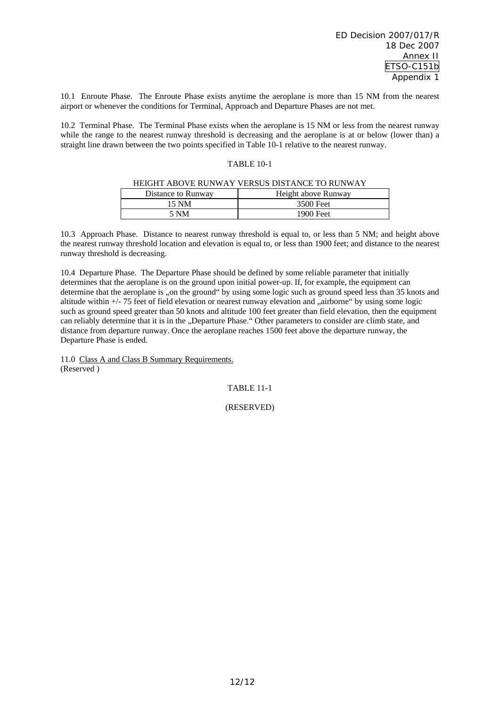10.1 Enroute Phase. The Enroute Phase exists anytime the aeroplane is more than 15 NM from the nearest airport or whenever the conditions for Terminal, Approach and Departure Phases are not met.

10.2 Terminal Phase. The Terminal Phase exists when the aeroplane is 15 NM or less from the nearest runway while the range to the nearest runway threshold is decreasing and the aeroplane is at or below (lower than) a straight line drawn between the two points specified in Table 10-1 relative to the nearest runway.

#### TABLE 10-1

#### HEIGHT ABOVE RUNWAY VERSUS DISTANCE TO RUNWAY

| Distance to Runway | Height above Runway |
|--------------------|---------------------|
| 15 NM              | 3500 Feet           |
| NM                 | 1900 Feet           |

10.3 Approach Phase. Distance to nearest runway threshold is equal to, or less than 5 NM; and height above the nearest runway threshold location and elevation is equal to, or less than 1900 feet; and distance to the nearest runway threshold is decreasing.

10.4 Departure Phase. The Departure Phase should be defined by some reliable parameter that initially determines that the aeroplane is on the ground upon initial power-up. If, for example, the equipment can determine that the aeroplane is "on the ground" by using some logic such as ground speed less than 35 knots and altitude within  $+/-75$  feet of field elevation or nearest runway elevation and "airborne" by using some logic such as ground speed greater than 50 knots and altitude 100 feet greater than field elevation, then the equipment can reliably determine that it is in the "Departure Phase." Other parameters to consider are climb state, and distance from departure runway. Once the aeroplane reaches 1500 feet above the departure runway, the Departure Phase is ended.

11.0 Class A and Class B Summary Requirements. (Reserved )

TABLE 11-1

(RESERVED)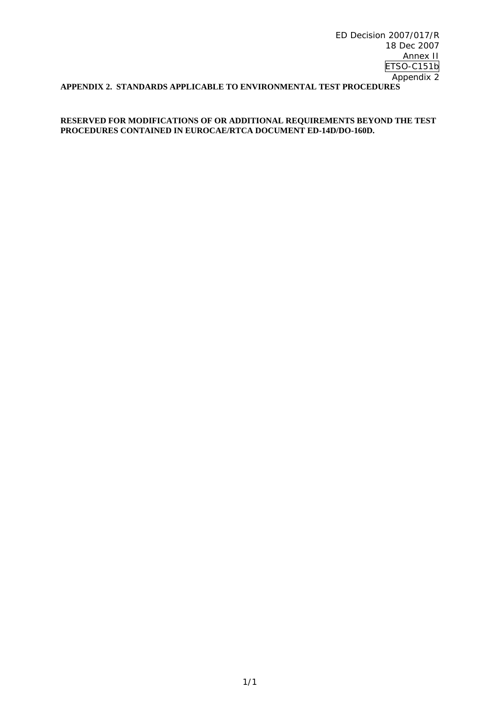ED Decision 2007/017/R 18 Dec 2007 Annex II ETSO-C151b Appendix 2 **APPENDIX 2. STANDARDS APPLICABLE TO ENVIRONMENTAL TEST PROCEDURES** 

#### **RESERVED FOR MODIFICATIONS OF OR ADDITIONAL REQUIREMENTS BEYOND THE TEST PROCEDURES CONTAINED IN EUROCAE/RTCA DOCUMENT ED-14D/DO-160D.**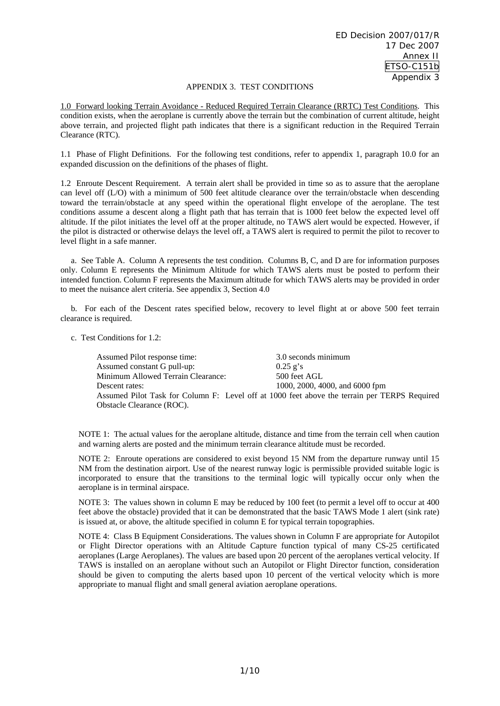#### APPENDIX 3. TEST CONDITIONS

1.0 Forward looking Terrain Avoidance - Reduced Required Terrain Clearance (RRTC) Test Conditions. This condition exists, when the aeroplane is currently above the terrain but the combination of current altitude, height above terrain, and projected flight path indicates that there is a significant reduction in the Required Terrain Clearance (RTC).

1.1 Phase of Flight Definitions. For the following test conditions, refer to appendix 1, paragraph 10.0 for an expanded discussion on the definitions of the phases of flight.

1.2 Enroute Descent Requirement. A terrain alert shall be provided in time so as to assure that the aeroplane can level off (L/O) with a minimum of 500 feet altitude clearance over the terrain/obstacle when descending toward the terrain/obstacle at any speed within the operational flight envelope of the aeroplane. The test conditions assume a descent along a flight path that has terrain that is 1000 feet below the expected level off altitude. If the pilot initiates the level off at the proper altitude, no TAWS alert would be expected. However, if the pilot is distracted or otherwise delays the level off, a TAWS alert is required to permit the pilot to recover to level flight in a safe manner.

 a. See Table A. Column A represents the test condition. Columns B, C, and D are for information purposes only. Column E represents the Minimum Altitude for which TAWS alerts must be posted to perform their intended function. Column F represents the Maximum altitude for which TAWS alerts may be provided in order to meet the nuisance alert criteria. See appendix 3, Section 4.0

 b. For each of the Descent rates specified below, recovery to level flight at or above 500 feet terrain clearance is required.

c.Test Conditions for 1.2:

Assumed Pilot response time: 3.0 seconds minimum Assumed constant G pull-up:  $0.25 \text{ g's}$ Minimum Allowed Terrain Clearance: 500 feet AGL Descent rates: 1000, 2000, 4000, and 6000 fpm Assumed Pilot Task for Column F: Level off at 1000 feet above the terrain per TERPS Required Obstacle Clearance (ROC).

NOTE 1: The actual values for the aeroplane altitude, distance and time from the terrain cell when caution and warning alerts are posted and the minimum terrain clearance altitude must be recorded.

NOTE 2: Enroute operations are considered to exist beyond 15 NM from the departure runway until 15 NM from the destination airport. Use of the nearest runway logic is permissible provided suitable logic is incorporated to ensure that the transitions to the terminal logic will typically occur only when the aeroplane is in terminal airspace.

NOTE 3: The values shown in column E may be reduced by 100 feet (to permit a level off to occur at 400 feet above the obstacle) provided that it can be demonstrated that the basic TAWS Mode 1 alert (sink rate) is issued at, or above, the altitude specified in column E for typical terrain topographies.

NOTE 4: Class B Equipment Considerations. The values shown in Column F are appropriate for Autopilot or Flight Director operations with an Altitude Capture function typical of many CS-25 certificated aeroplanes (Large Aeroplanes). The values are based upon 20 percent of the aeroplanes vertical velocity. If TAWS is installed on an aeroplane without such an Autopilot or Flight Director function, consideration should be given to computing the alerts based upon 10 percent of the vertical velocity which is more appropriate to manual flight and small general aviation aeroplane operations.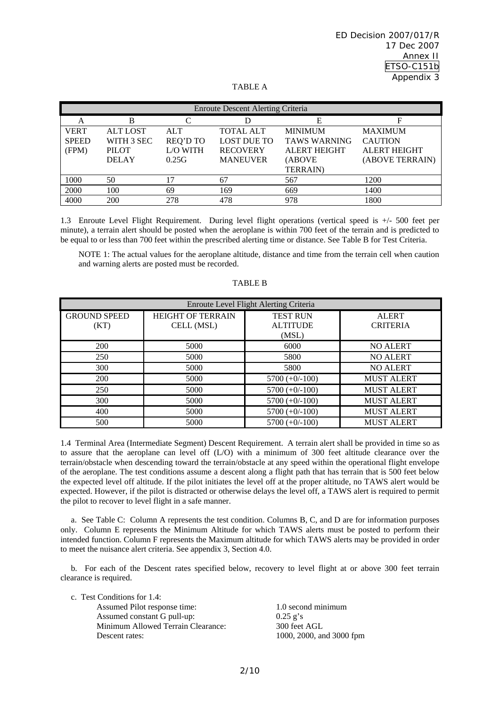| <b>Enroute Descent Alerting Criteria</b> |                 |                 |                    |                     |                     |  |
|------------------------------------------|-----------------|-----------------|--------------------|---------------------|---------------------|--|
| A                                        | B               |                 | D                  | Е                   | F                   |  |
| <b>VERT</b>                              | <b>ALT LOST</b> | <b>ALT</b>      | <b>TOTAL ALT</b>   | <b>MINIMUM</b>      | <b>MAXIMUM</b>      |  |
| <b>SPEED</b>                             | WITH 3 SEC      | <b>REQ'D TO</b> | <b>LOST DUE TO</b> | <b>TAWS WARNING</b> | <b>CAUTION</b>      |  |
| (FPM)                                    | <b>PILOT</b>    | L/O WITH        | <b>RECOVERY</b>    | <b>ALERT HEIGHT</b> | <b>ALERT HEIGHT</b> |  |
|                                          | <b>DELAY</b>    | 0.25G           | <b>MANEUVER</b>    | (ABOVE              | (ABOVE TERRAIN)     |  |
|                                          |                 |                 |                    | <b>TERRAIN</b> )    |                     |  |
| 1000                                     | 50              | 17              | 67                 | 567                 | 1200                |  |
| 2000                                     | 100             | 69              | 169                | 669                 | 1400                |  |
| 4000                                     | 200             | 278             | 478                | 978                 | 1800                |  |

TABLE A

1.3 Enroute Level Flight Requirement. During level flight operations (vertical speed is +/- 500 feet per minute), a terrain alert should be posted when the aeroplane is within 700 feet of the terrain and is predicted to be equal to or less than 700 feet within the prescribed alerting time or distance. See Table B for Test Criteria.

NOTE 1: The actual values for the aeroplane altitude, distance and time from the terrain cell when caution and warning alerts are posted must be recorded.

| Enroute Level Flight Alerting Criteria |                          |                  |                   |  |  |
|----------------------------------------|--------------------------|------------------|-------------------|--|--|
| <b>GROUND SPEED</b>                    | <b>HEIGHT OF TERRAIN</b> | <b>TEST RUN</b>  | <b>ALERT</b>      |  |  |
| (KT)                                   | CELL (MSL)               | <b>ALTITUDE</b>  | <b>CRITERIA</b>   |  |  |
|                                        |                          | (MSL)            |                   |  |  |
| 200                                    | 5000                     | 6000             | <b>NO ALERT</b>   |  |  |
| 250                                    | 5000                     | 5800             | <b>NO ALERT</b>   |  |  |
| 300                                    | 5000                     | 5800             | <b>NO ALERT</b>   |  |  |
| 200                                    | 5000                     | $5700 (+0/-100)$ | <b>MUST ALERT</b> |  |  |
| 250                                    | 5000                     | $5700 (+0/-100)$ | <b>MUST ALERT</b> |  |  |
| 300                                    | 5000                     | $5700 (+0/-100)$ | <b>MUST ALERT</b> |  |  |
| 400                                    | 5000                     | $5700 (+0/-100)$ | <b>MUST ALERT</b> |  |  |
| 500                                    | 5000                     | $5700 (+0/-100)$ | <b>MUST ALERT</b> |  |  |

#### TABLE B

1.4 Terminal Area (Intermediate Segment) Descent Requirement. A terrain alert shall be provided in time so as to assure that the aeroplane can level off (L/O) with a minimum of 300 feet altitude clearance over the terrain/obstacle when descending toward the terrain/obstacle at any speed within the operational flight envelope of the aeroplane. The test conditions assume a descent along a flight path that has terrain that is 500 feet below the expected level off altitude. If the pilot initiates the level off at the proper altitude, no TAWS alert would be expected. However, if the pilot is distracted or otherwise delays the level off, a TAWS alert is required to permit the pilot to recover to level flight in a safe manner.

 a. See Table C: Column A represents the test condition. Columns B, C, and D are for information purposes only. Column E represents the Minimum Altitude for which TAWS alerts must be posted to perform their intended function. Column F represents the Maximum altitude for which TAWS alerts may be provided in order to meet the nuisance alert criteria. See appendix 3, Section 4.0.

 b. For each of the Descent rates specified below, recovery to level flight at or above 300 feet terrain clearance is required.

c. Test Conditions for 1.4:

Assumed Pilot response time: 1.0 second minimum Assumed constant G pull-up: 0.25 g's Minimum Allowed Terrain Clearance: 300 feet AGL Descent rates: 1000, 2000, and 3000 fpm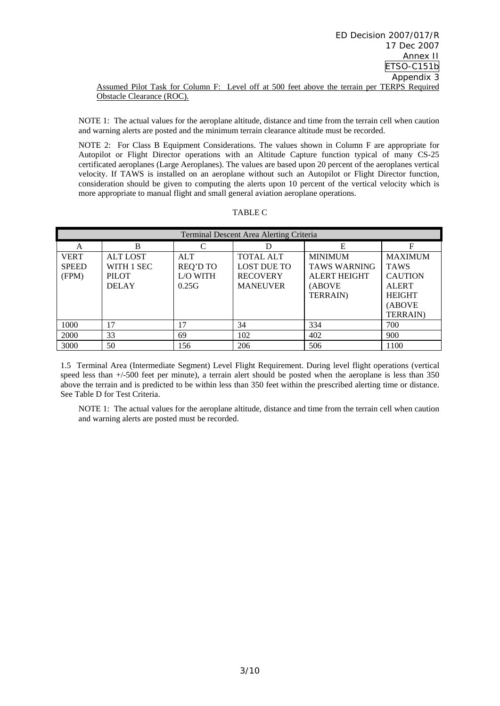NOTE 1: The actual values for the aeroplane altitude, distance and time from the terrain cell when caution and warning alerts are posted and the minimum terrain clearance altitude must be recorded.

NOTE 2: For Class B Equipment Considerations. The values shown in Column F are appropriate for Autopilot or Flight Director operations with an Altitude Capture function typical of many CS-25 certificated aeroplanes (Large Aeroplanes). The values are based upon 20 percent of the aeroplanes vertical velocity. If TAWS is installed on an aeroplane without such an Autopilot or Flight Director function, consideration should be given to computing the alerts upon 10 percent of the vertical velocity which is more appropriate to manual flight and small general aviation aeroplane operations.

| Terminal Descent Area Alerting Criteria |                 |                             |                    |                     |                  |
|-----------------------------------------|-----------------|-----------------------------|--------------------|---------------------|------------------|
| A                                       | B               | $\mathcal{C}_{\mathcal{C}}$ |                    | E                   | F                |
| <b>VERT</b>                             | <b>ALT LOST</b> | <b>ALT</b>                  | <b>TOTAL ALT</b>   | <b>MINIMUM</b>      | <b>MAXIMUM</b>   |
| <b>SPEED</b>                            | WITH 1 SEC      | <b>REQ'D TO</b>             | <b>LOST DUE TO</b> | <b>TAWS WARNING</b> | <b>TAWS</b>      |
| (FPM)                                   | <b>PILOT</b>    | L/O WITH                    | <b>RECOVERY</b>    | <b>ALERT HEIGHT</b> | <b>CAUTION</b>   |
|                                         | <b>DELAY</b>    | 0.25G                       | <b>MANEUVER</b>    | (ABOVE              | <b>ALERT</b>     |
|                                         |                 |                             |                    | <b>TERRAIN</b> )    | <b>HEIGHT</b>    |
|                                         |                 |                             |                    |                     | (ABOVE           |
|                                         |                 |                             |                    |                     | <b>TERRAIN</b> ) |
| 1000                                    | 17              | 17                          | 34                 | 334                 | 700              |
| 2000                                    | 33              | 69                          | 102                | 402                 | 900              |
| 3000                                    | 50              | 156                         | 206                | 506                 | 1100             |

TABLE C

1.5 Terminal Area (Intermediate Segment) Level Flight Requirement. During level flight operations (vertical speed less than  $+/500$  feet per minute), a terrain alert should be posted when the aeroplane is less than 350 above the terrain and is predicted to be within less than 350 feet within the prescribed alerting time or distance. See Table D for Test Criteria.

NOTE 1: The actual values for the aeroplane altitude, distance and time from the terrain cell when caution and warning alerts are posted must be recorded.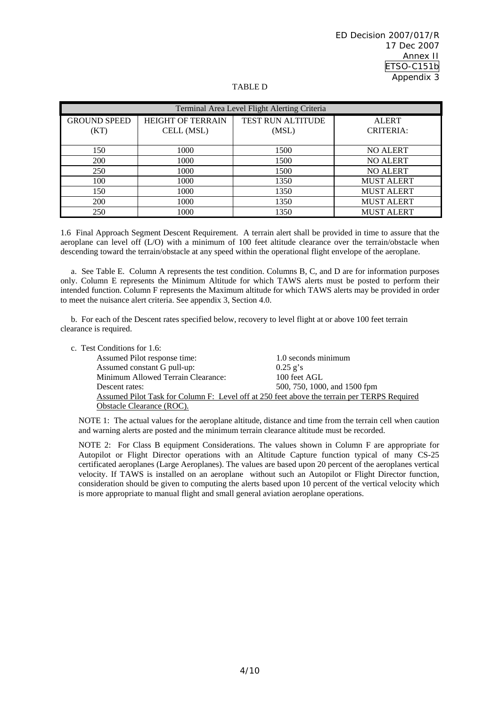#### TABLE D

| Terminal Area Level Flight Alerting Criteria |                                        |                                   |                                  |  |
|----------------------------------------------|----------------------------------------|-----------------------------------|----------------------------------|--|
| <b>GROUND SPEED</b><br>(KT)                  | <b>HEIGHT OF TERRAIN</b><br>CELL (MSL) | <b>TEST RUN ALTITUDE</b><br>(MSL) | <b>ALERT</b><br><b>CRITERIA:</b> |  |
| 150                                          | 1000                                   | 1500                              | <b>NO ALERT</b>                  |  |
| 200                                          | 1000                                   | 1500                              | <b>NO ALERT</b>                  |  |
| 250                                          | 1000                                   | 1500                              | <b>NO ALERT</b>                  |  |
| 100                                          | 1000                                   | 1350                              | <b>MUST ALERT</b>                |  |
| 150                                          | 1000                                   | 1350                              | <b>MUST ALERT</b>                |  |
| 200                                          | 1000                                   | 1350                              | <b>MUST ALERT</b>                |  |
| 250                                          | 1000                                   | 1350                              | <b>MUST ALERT</b>                |  |

1.6 Final Approach Segment Descent Requirement. A terrain alert shall be provided in time to assure that the aeroplane can level off (L/O) with a minimum of 100 feet altitude clearance over the terrain/obstacle when descending toward the terrain/obstacle at any speed within the operational flight envelope of the aeroplane.

 a. See Table E. Column A represents the test condition. Columns B, C, and D are for information purposes only. Column E represents the Minimum Altitude for which TAWS alerts must be posted to perform their intended function. Column F represents the Maximum altitude for which TAWS alerts may be provided in order to meet the nuisance alert criteria. See appendix 3, Section 4.0.

 b. For each of the Descent rates specified below, recovery to level flight at or above 100 feet terrain clearance is required.

| c. Test Conditions for 1.6:        |                                                                                             |
|------------------------------------|---------------------------------------------------------------------------------------------|
| Assumed Pilot response time:       | 1.0 seconds minimum                                                                         |
| Assumed constant G pull-up:        | $0.25$ g's                                                                                  |
| Minimum Allowed Terrain Clearance: | 100 feet AGL                                                                                |
| Descent rates:                     | 500, 750, 1000, and 1500 fpm                                                                |
|                                    | Assumed Pilot Task for Column F: Level off at 250 feet above the terrain per TERPS Required |
| Obstacle Clearance (ROC).          |                                                                                             |

NOTE 1: The actual values for the aeroplane altitude, distance and time from the terrain cell when caution and warning alerts are posted and the minimum terrain clearance altitude must be recorded.

NOTE 2: For Class B equipment Considerations. The values shown in Column F are appropriate for Autopilot or Flight Director operations with an Altitude Capture function typical of many CS-25 certificated aeroplanes (Large Aeroplanes). The values are based upon 20 percent of the aeroplanes vertical velocity. If TAWS is installed on an aeroplane without such an Autopilot or Flight Director function, consideration should be given to computing the alerts based upon 10 percent of the vertical velocity which is more appropriate to manual flight and small general aviation aeroplane operations.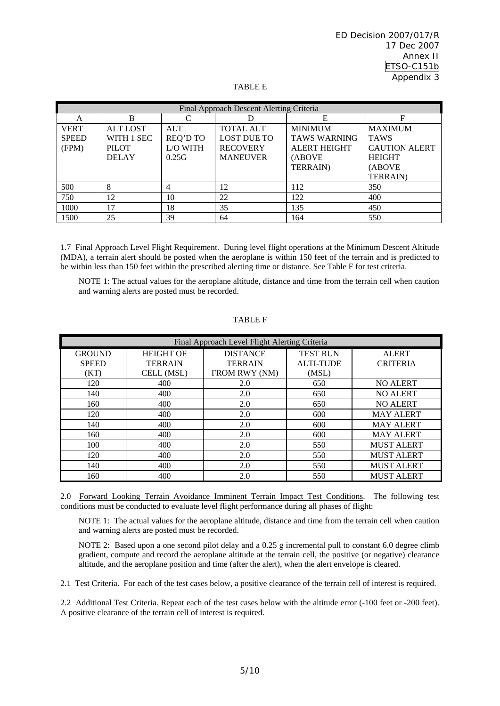#### TABLE E

| Final Approach Descent Alerting Criteria |                 |                 |                    |                     |                      |
|------------------------------------------|-----------------|-----------------|--------------------|---------------------|----------------------|
| A                                        | B               |                 |                    | Е                   | F                    |
| <b>VERT</b>                              | <b>ALT LOST</b> | <b>ALT</b>      | <b>TOTAL ALT</b>   | <b>MINIMUM</b>      | <b>MAXIMUM</b>       |
| <b>SPEED</b>                             | WITH 1 SEC      | <b>REQ'D TO</b> | <b>LOST DUE TO</b> | <b>TAWS WARNING</b> | <b>TAWS</b>          |
| (FPM)                                    | <b>PILOT</b>    | L/O WITH        | <b>RECOVERY</b>    | <b>ALERT HEIGHT</b> | <b>CAUTION ALERT</b> |
|                                          | <b>DELAY</b>    | 0.25G           | <b>MANEUVER</b>    | (ABOVE              | <b>HEIGHT</b>        |
|                                          |                 |                 |                    | <b>TERRAIN</b> )    | (ABOVE               |
|                                          |                 |                 |                    |                     | <b>TERRAIN)</b>      |
| 500                                      | 8               | 4               | 12                 | 112                 | 350                  |
| 750                                      | 12              | 10              | 22                 | 122                 | 400                  |
| 1000                                     | 17              | 18              | 35                 | 135                 | 450                  |
| 1500                                     | 25              | 39              | 64                 | 164                 | 550                  |

1.7 Final Approach Level Flight Requirement. During level flight operations at the Minimum Descent Altitude (MDA), a terrain alert should be posted when the aeroplane is within 150 feet of the terrain and is predicted to be within less than 150 feet within the prescribed alerting time or distance. See Table F for test criteria.

NOTE 1: The actual values for the aeroplane altitude, distance and time from the terrain cell when caution and warning alerts are posted must be recorded.

| Final Approach Level Flight Alerting Criteria |                  |                 |                  |                   |  |
|-----------------------------------------------|------------------|-----------------|------------------|-------------------|--|
| <b>GROUND</b>                                 | <b>HEIGHT OF</b> | <b>DISTANCE</b> | <b>TEST RUN</b>  | <b>ALERT</b>      |  |
| <b>SPEED</b>                                  | <b>TERRAIN</b>   | <b>TERRAIN</b>  | <b>ALTI-TUDE</b> | <b>CRITERIA</b>   |  |
| (KT)                                          | CELL (MSL)       | FROM RWY (NM)   | (MSL)            |                   |  |
| 120                                           | 400              | 2.0             | 650              | <b>NO ALERT</b>   |  |
| 140                                           | 400              | 2.0             | 650              | <b>NO ALERT</b>   |  |
| 160                                           | 400              | 2.0             | 650              | <b>NO ALERT</b>   |  |
| 120                                           | 400              | 2.0             | 600              | <b>MAY ALERT</b>  |  |
| 140                                           | 400              | 2.0             | 600              | <b>MAY ALERT</b>  |  |
| 160                                           | 400              | 2.0             | 600              | <b>MAY ALERT</b>  |  |
| 100                                           | 400              | 2.0             | 550              | <b>MUST ALERT</b> |  |
| 120                                           | 400              | 2.0             | 550              | <b>MUST ALERT</b> |  |
| 140                                           | 400              | 2.0             | 550              | <b>MUST ALERT</b> |  |
| 160                                           | 400              | 2.0             | 550              | <b>MUST ALERT</b> |  |

TABLE F

2.0 Forward Looking Terrain Avoidance Imminent Terrain Impact Test Conditions. The following test conditions must be conducted to evaluate level flight performance during all phases of flight:

NOTE 1: The actual values for the aeroplane altitude, distance and time from the terrain cell when caution and warning alerts are posted must be recorded.

NOTE 2: Based upon a one second pilot delay and a 0.25 g incremental pull to constant 6.0 degree climb gradient, compute and record the aeroplane altitude at the terrain cell, the positive (or negative) clearance altitude, and the aeroplane position and time (after the alert), when the alert envelope is cleared.

2.1 Test Criteria. For each of the test cases below, a positive clearance of the terrain cell of interest is required.

2.2 Additional Test Criteria. Repeat each of the test cases below with the altitude error (-100 feet or -200 feet). A positive clearance of the terrain cell of interest is required.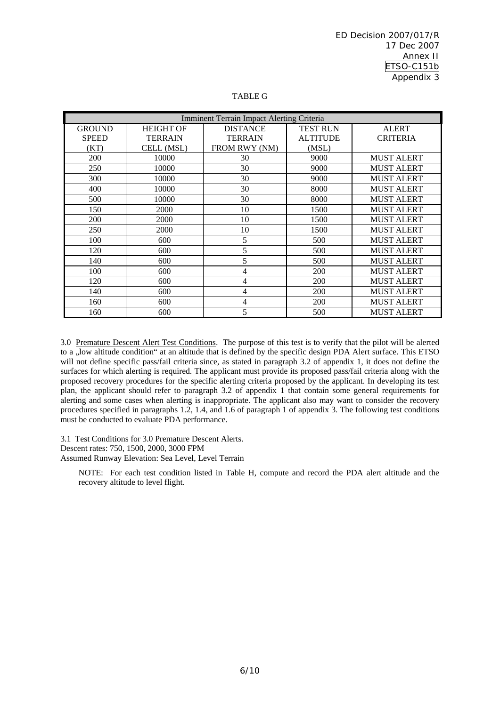| <b>Imminent Terrain Impact Alerting Criteria</b> |                  |                 |                 |                   |  |
|--------------------------------------------------|------------------|-----------------|-----------------|-------------------|--|
| <b>GROUND</b>                                    | <b>HEIGHT OF</b> | <b>DISTANCE</b> | <b>TEST RUN</b> | <b>ALERT</b>      |  |
| <b>SPEED</b>                                     | <b>TERRAIN</b>   | <b>TERRAIN</b>  | <b>ALTITUDE</b> | <b>CRITERIA</b>   |  |
| (KT)                                             | CELL (MSL)       | FROM RWY (NM)   | (MSL)           |                   |  |
| 200                                              | 10000            | 30              | 9000            | <b>MUST ALERT</b> |  |
| 250                                              | 10000            | 30              | 9000            | <b>MUST ALERT</b> |  |
| 300                                              | 10000            | 30              | 9000            | <b>MUST ALERT</b> |  |
| 400                                              | 10000            | 30              | 8000            | <b>MUST ALERT</b> |  |
| 500                                              | 10000            | 30              | 8000            | <b>MUST ALERT</b> |  |
| 150                                              | 2000             | 10              | 1500            | <b>MUST ALERT</b> |  |
| 200                                              | 2000             | 10              | 1500            | <b>MUST ALERT</b> |  |
| 250                                              | 2000             | 10              | 1500            | <b>MUST ALERT</b> |  |
| 100                                              | 600              | 5               | 500             | <b>MUST ALERT</b> |  |
| 120                                              | 600              | 5               | 500             | <b>MUST ALERT</b> |  |
| 140                                              | 600              | 5               | 500             | <b>MUST ALERT</b> |  |
| 100                                              | 600              | 4               | 200             | <b>MUST ALERT</b> |  |
| 120                                              | 600              | 4               | 200             | <b>MUST ALERT</b> |  |
| 140                                              | 600              | 4               | 200             | <b>MUST ALERT</b> |  |
| 160                                              | 600              | 4               | 200             | <b>MUST ALERT</b> |  |
| 160                                              | 600              | 5               | 500             | <b>MUST ALERT</b> |  |

#### TABLE G

3.0 Premature Descent Alert Test Conditions. The purpose of this test is to verify that the pilot will be alerted to a "low altitude condition" at an altitude that is defined by the specific design PDA Alert surface. This ETSO will not define specific pass/fail criteria since, as stated in paragraph 3.2 of appendix 1, it does not define the surfaces for which alerting is required. The applicant must provide its proposed pass/fail criteria along with the proposed recovery procedures for the specific alerting criteria proposed by the applicant. In developing its test plan, the applicant should refer to paragraph 3.2 of appendix 1 that contain some general requirements for alerting and some cases when alerting is inappropriate. The applicant also may want to consider the recovery procedures specified in paragraphs 1.2, 1.4, and 1.6 of paragraph 1 of appendix 3. The following test conditions must be conducted to evaluate PDA performance.

3.1 Test Conditions for 3.0 Premature Descent Alerts. Descent rates: 750, 1500, 2000, 3000 FPM Assumed Runway Elevation: Sea Level, Level Terrain

NOTE: For each test condition listed in Table H, compute and record the PDA alert altitude and the recovery altitude to level flight.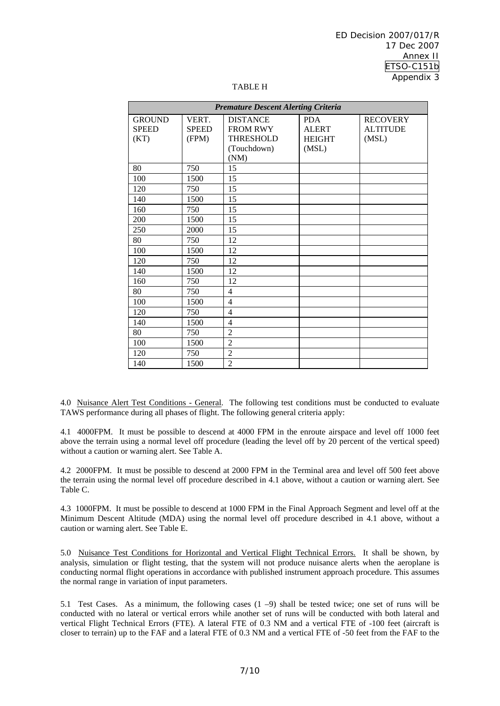| <b>Premature Descent Alerting Criteria</b> |              |                  |               |                 |  |
|--------------------------------------------|--------------|------------------|---------------|-----------------|--|
| <b>GROUND</b>                              | VERT.        | <b>DISTANCE</b>  | <b>PDA</b>    | <b>RECOVERY</b> |  |
| <b>SPEED</b>                               | <b>SPEED</b> | <b>FROM RWY</b>  | <b>ALERT</b>  | <b>ALTITUDE</b> |  |
| (KT)                                       | (FPM)        | <b>THRESHOLD</b> | <b>HEIGHT</b> | (MSL)           |  |
|                                            |              | (Touchdown)      | (MSL)         |                 |  |
|                                            |              | (NM)             |               |                 |  |
| 80                                         | 750          | 15               |               |                 |  |
| 100                                        | 1500         | 15               |               |                 |  |
| 120                                        | 750          | 15               |               |                 |  |
| 140                                        | 1500         | 15               |               |                 |  |
| 160                                        | 750          | 15               |               |                 |  |
| 200                                        | 1500         | 15               |               |                 |  |
| 250                                        | 2000         | 15               |               |                 |  |
| 80                                         | 750          | 12               |               |                 |  |
| 100                                        | 1500         | 12               |               |                 |  |
| 120                                        | 750          | 12               |               |                 |  |
| 140                                        | 1500         | 12               |               |                 |  |
| 160                                        | 750          | 12               |               |                 |  |
| 80                                         | 750          | 4                |               |                 |  |
| 100                                        | 1500         | $\overline{4}$   |               |                 |  |
| 120                                        | 750          | $\overline{4}$   |               |                 |  |
| 140                                        | 1500         | 4                |               |                 |  |
| 80                                         | 750          | $\overline{2}$   |               |                 |  |
| 100                                        | 1500         | $\overline{2}$   |               |                 |  |
| 120                                        | 750          | $\overline{2}$   |               |                 |  |
| 140                                        | 1500         | $\overline{2}$   |               |                 |  |

#### TABLE H

4.0 Nuisance Alert Test Conditions - General. The following test conditions must be conducted to evaluate TAWS performance during all phases of flight. The following general criteria apply:

4.1 4000FPM. It must be possible to descend at 4000 FPM in the enroute airspace and level off 1000 feet above the terrain using a normal level off procedure (leading the level off by 20 percent of the vertical speed) without a caution or warning alert. See Table A.

4.2 2000FPM. It must be possible to descend at 2000 FPM in the Terminal area and level off 500 feet above the terrain using the normal level off procedure described in 4.1 above, without a caution or warning alert. See Table C.

4.3 1000FPM. It must be possible to descend at 1000 FPM in the Final Approach Segment and level off at the Minimum Descent Altitude (MDA) using the normal level off procedure described in 4.1 above, without a caution or warning alert. See Table E.

5.0 Nuisance Test Conditions for Horizontal and Vertical Flight Technical Errors. It shall be shown, by analysis, simulation or flight testing, that the system will not produce nuisance alerts when the aeroplane is conducting normal flight operations in accordance with published instrument approach procedure. This assumes the normal range in variation of input parameters.

5.1 Test Cases. As a minimum, the following cases (1 –9) shall be tested twice; one set of runs will be conducted with no lateral or vertical errors while another set of runs will be conducted with both lateral and vertical Flight Technical Errors (FTE). A lateral FTE of 0.3 NM and a vertical FTE of -100 feet (aircraft is closer to terrain) up to the FAF and a lateral FTE of 0.3 NM and a vertical FTE of -50 feet from the FAF to the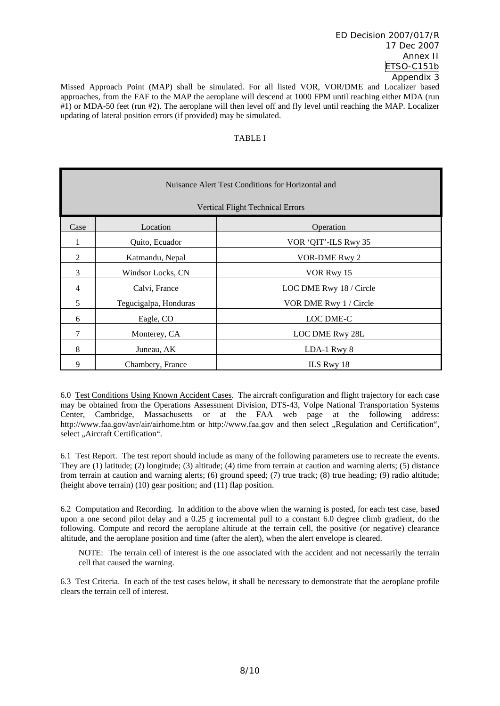Missed Approach Point (MAP) shall be simulated. For all listed VOR, VOR/DME and Localizer based approaches, from the FAF to the MAP the aeroplane will descend at 1000 FPM until reaching either MDA (run #1) or MDA-50 feet (run #2). The aeroplane will then level off and fly level until reaching the MAP. Localizer updating of lateral position errors (if provided) may be simulated.

#### TABLE I

|                | Nuisance Alert Test Conditions for Horizontal and |                                         |  |  |  |
|----------------|---------------------------------------------------|-----------------------------------------|--|--|--|
|                |                                                   | <b>Vertical Flight Technical Errors</b> |  |  |  |
| Case           | Location                                          | Operation                               |  |  |  |
|                | Quito, Ecuador                                    | VOR 'QIT'-ILS Rwy 35                    |  |  |  |
| 2              | Katmandu, Nepal                                   | VOR-DME Rwy 2                           |  |  |  |
| 3              | Windsor Locks, CN                                 | VOR Rwy 15                              |  |  |  |
| $\overline{4}$ | Calvi, France                                     | LOC DME Rwy 18 / Circle                 |  |  |  |
| 5              | Tegucigalpa, Honduras                             | VOR DME Rwy 1 / Circle                  |  |  |  |
| 6              | Eagle, CO                                         | <b>LOC DME-C</b>                        |  |  |  |
| $\overline{7}$ | Monterey, CA                                      | LOC DME Rwy 28L                         |  |  |  |
| 8              | Juneau, AK                                        | LDA-1 Rwy 8                             |  |  |  |
| 9              | Chambery, France                                  | ILS Rwy 18                              |  |  |  |

6.0 Test Conditions Using Known Accident Cases. The aircraft configuration and flight trajectory for each case may be obtained from the Operations Assessment Division, DTS-43, Volpe National Transportation Systems Center, Cambridge, Massachusetts or at the FAA web page at the following address: http://www.faa.gov/avr/air/airhome.htm or http://www.faa.gov and then select "Regulation and Certification", select ..Aircraft Certification".

6.1 Test Report. The test report should include as many of the following parameters use to recreate the events. They are (1) latitude; (2) longitude; (3) altitude; (4) time from terrain at caution and warning alerts; (5) distance from terrain at caution and warning alerts; (6) ground speed; (7) true track; (8) true heading; (9) radio altitude; (height above terrain) (10) gear position; and (11) flap position.

6.2 Computation and Recording. In addition to the above when the warning is posted, for each test case, based upon a one second pilot delay and a 0.25 g incremental pull to a constant 6.0 degree climb gradient, do the following. Compute and record the aeroplane altitude at the terrain cell, the positive (or negative) clearance altitude, and the aeroplane position and time (after the alert), when the alert envelope is cleared.

NOTE: The terrain cell of interest is the one associated with the accident and not necessarily the terrain cell that caused the warning.

6.3 Test Criteria.In each of the test cases below, it shall be necessary to demonstrate that the aeroplane profile clears the terrain cell of interest.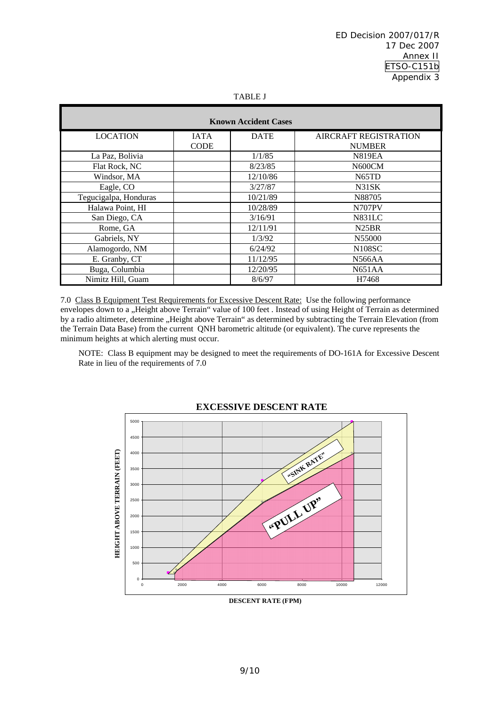| . .<br>. . |  |
|------------|--|
|            |  |

| <b>Known Accident Cases</b> |             |             |                       |  |  |  |
|-----------------------------|-------------|-------------|-----------------------|--|--|--|
| <b>LOCATION</b>             | <b>IATA</b> | <b>DATE</b> | AIRCRAFT REGISTRATION |  |  |  |
|                             | <b>CODE</b> |             | <b>NUMBER</b>         |  |  |  |
| La Paz, Bolivia             |             | 1/1/85      | <b>N819EA</b>         |  |  |  |
| Flat Rock, NC               |             | 8/23/85     | N600CM                |  |  |  |
| Windsor, MA                 |             | 12/10/86    | N <sub>65</sub> TD    |  |  |  |
| Eagle, CO                   |             | 3/27/87     | N31SK                 |  |  |  |
| Tegucigalpa, Honduras       |             | 10/21/89    | N88705                |  |  |  |
| Halawa Point, HI            |             | 10/28/89    | <b>N707PV</b>         |  |  |  |
| San Diego, CA               |             | 3/16/91     | <b>N831LC</b>         |  |  |  |
| Rome, GA                    |             | 12/11/91    | N <sub>25</sub> BR    |  |  |  |
| Gabriels, NY                |             | 1/3/92      | N55000                |  |  |  |
| Alamogordo, NM              |             | 6/24/92     | <b>N108SC</b>         |  |  |  |
| E. Granby, CT               |             | 11/12/95    | N566AA                |  |  |  |
| Buga, Columbia              |             | 12/20/95    | N651AA                |  |  |  |
| Nimitz Hill, Guam           |             | 8/6/97      | H7468                 |  |  |  |

7.0 Class B Equipment Test Requirements for Excessive Descent Rate: Use the following performance envelopes down to a "Height above Terrain" value of 100 feet . Instead of using Height of Terrain as determined by a radio altimeter, determine "Height above Terrain" as determined by subtracting the Terrain Elevation (from the Terrain Data Base) from the current QNH barometric altitude (or equivalent). The curve represents the minimum heights at which alerting must occur.

NOTE: Class B equipment may be designed to meet the requirements of DO-161A for Excessive Descent Rate in lieu of the requirements of 7.0



 **EXCESSIVE DESCENT RATE**

 **DESCENT RATE (FPM)**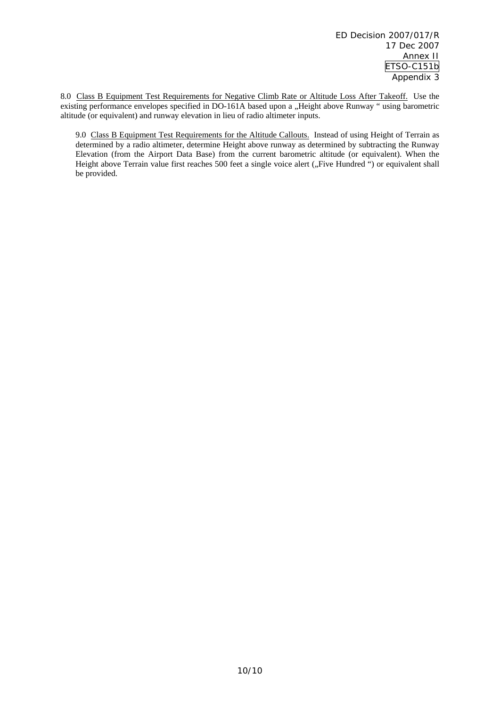8.0 Class B Equipment Test Requirements for Negative Climb Rate or Altitude Loss After Takeoff. Use the existing performance envelopes specified in DO-161A based upon a "Height above Runway " using barometric altitude (or equivalent) and runway elevation in lieu of radio altimeter inputs.

9.0 Class B Equipment Test Requirements for the Altitude Callouts. Instead of using Height of Terrain as determined by a radio altimeter, determine Height above runway as determined by subtracting the Runway Elevation (from the Airport Data Base) from the current barometric altitude (or equivalent). When the Height above Terrain value first reaches 500 feet a single voice alert ("Five Hundred ") or equivalent shall be provided.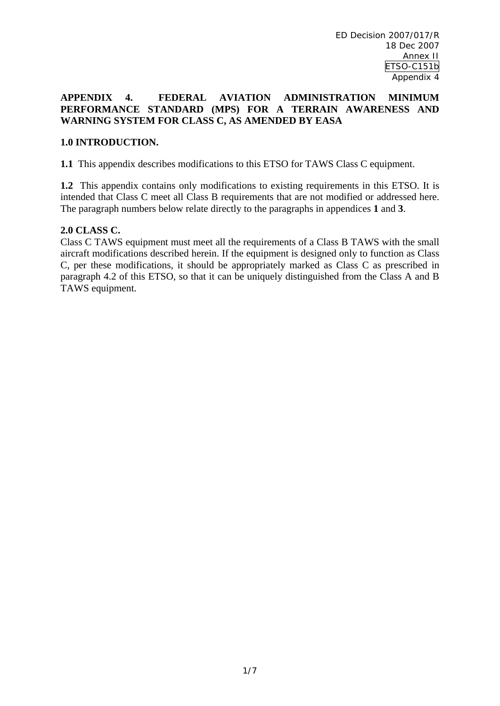### **APPENDIX 4. FEDERAL AVIATION ADMINISTRATION MINIMUM PERFORMANCE STANDARD (MPS) FOR A TERRAIN AWARENESS AND WARNING SYSTEM FOR CLASS C, AS AMENDED BY EASA**

# **1.0 INTRODUCTION.**

**1.1** This appendix describes modifications to this ETSO for TAWS Class C equipment.

**1.2** This appendix contains only modifications to existing requirements in this ETSO. It is intended that Class C meet all Class B requirements that are not modified or addressed here. The paragraph numbers below relate directly to the paragraphs in appendices **1** and **3**.

### **2.0 CLASS C.**

Class C TAWS equipment must meet all the requirements of a Class B TAWS with the small aircraft modifications described herein. If the equipment is designed only to function as Class C, per these modifications, it should be appropriately marked as Class C as prescribed in paragraph 4.2 of this ETSO, so that it can be uniquely distinguished from the Class A and B TAWS equipment.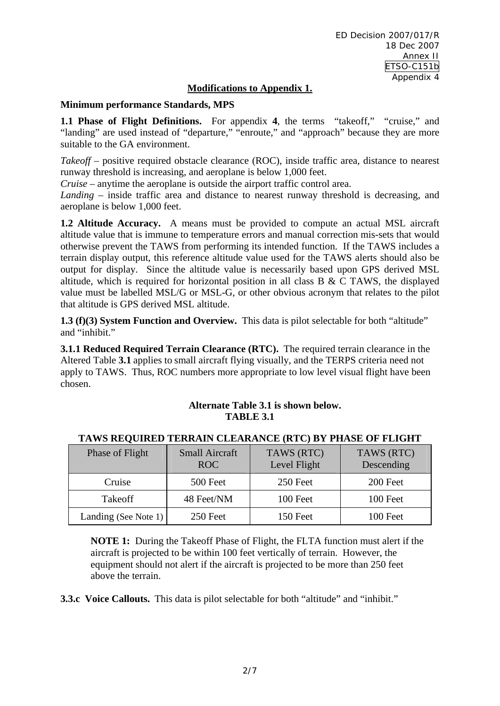# **Modifications to Appendix 1.**

## **Minimum performance Standards, MPS**

**1.1 Phase of Flight Definitions.** For appendix 4, the terms "takeoff," "cruise," and "landing" are used instead of "departure," "enroute," and "approach" because they are more suitable to the GA environment.

*Takeoff* – positive required obstacle clearance (ROC), inside traffic area, distance to nearest runway threshold is increasing, and aeroplane is below 1,000 feet.

*Cruise* – anytime the aeroplane is outside the airport traffic control area.

*Landing* – inside traffic area and distance to nearest runway threshold is decreasing, and aeroplane is below 1,000 feet.

**1.2 Altitude Accuracy.** A means must be provided to compute an actual MSL aircraft altitude value that is immune to temperature errors and manual correction mis-sets that would otherwise prevent the TAWS from performing its intended function. If the TAWS includes a terrain display output, this reference altitude value used for the TAWS alerts should also be output for display. Since the altitude value is necessarily based upon GPS derived MSL altitude, which is required for horizontal position in all class B & C TAWS, the displayed value must be labelled MSL/G or MSL-G, or other obvious acronym that relates to the pilot that altitude is GPS derived MSL altitude.

**1.3 (f)(3) System Function and Overview.** This data is pilot selectable for both "altitude" and "inhibit."

**3.1.1 Reduced Required Terrain Clearance (RTC).** The required terrain clearance in the Altered Table **3.1** applies to small aircraft flying visually, and the TERPS criteria need not apply to TAWS. Thus, ROC numbers more appropriate to low level visual flight have been chosen.

# **Alternate Table 3.1 is shown below. TABLE 3.1**

| Phase of Flight      | <b>Small Aircraft</b><br>ROC. | TAWS (RTC)<br>Level Flight | TAWS (RTC)<br>Descending |
|----------------------|-------------------------------|----------------------------|--------------------------|
| Cruise               | 500 Feet                      | 250 Feet                   | 200 Feet                 |
| Takeoff              | 48 Feet/NM                    | 100 Feet                   | 100 Feet                 |
| Landing (See Note 1) | 250 Feet                      | 150 Feet                   | 100 Feet                 |

# **TAWS REQUIRED TERRAIN CLEARANCE (RTC) BY PHASE OF FLIGHT**

**NOTE 1:** During the Takeoff Phase of Flight, the FLTA function must alert if the aircraft is projected to be within 100 feet vertically of terrain. However, the equipment should not alert if the aircraft is projected to be more than 250 feet above the terrain.

**3.3.c Voice Callouts.** This data is pilot selectable for both "altitude" and "inhibit."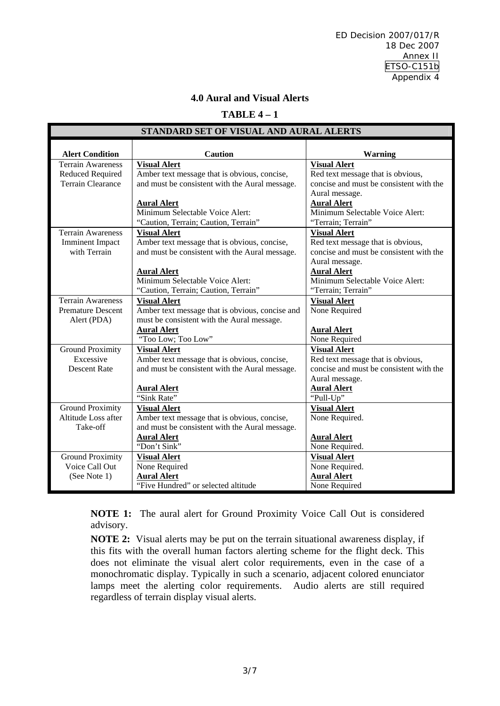ED Decision 2007/017/R 18 Dec 2007 Annex II ETSO-C151b Appendix 4

# **4.0 Aural and Visual Alerts**

### **TABLE 4 – 1**

| STANDARD SET OF VISUAL AND AURAL ALERTS |                                                 |                                         |  |  |  |
|-----------------------------------------|-------------------------------------------------|-----------------------------------------|--|--|--|
|                                         |                                                 |                                         |  |  |  |
| <b>Alert Condition</b>                  | <b>Caution</b>                                  | Warning                                 |  |  |  |
| <b>Terrain Awareness</b>                | <b>Visual Alert</b>                             | <b>Visual Alert</b>                     |  |  |  |
| Reduced Required                        | Amber text message that is obvious, concise,    | Red text message that is obvious,       |  |  |  |
| <b>Terrain Clearance</b>                | and must be consistent with the Aural message.  | concise and must be consistent with the |  |  |  |
|                                         |                                                 | Aural message.                          |  |  |  |
|                                         | <b>Aural Alert</b>                              | <b>Aural Alert</b>                      |  |  |  |
|                                         | Minimum Selectable Voice Alert:                 | Minimum Selectable Voice Alert:         |  |  |  |
|                                         | "Caution, Terrain; Caution, Terrain"            | "Terrain; Terrain"                      |  |  |  |
| <b>Terrain Awareness</b>                | <b>Visual Alert</b>                             | <b>Visual Alert</b>                     |  |  |  |
| <b>Imminent Impact</b>                  | Amber text message that is obvious, concise,    | Red text message that is obvious,       |  |  |  |
| with Terrain                            | and must be consistent with the Aural message.  | concise and must be consistent with the |  |  |  |
|                                         |                                                 | Aural message.                          |  |  |  |
|                                         | <b>Aural Alert</b>                              | <b>Aural Alert</b>                      |  |  |  |
|                                         | Minimum Selectable Voice Alert:                 | Minimum Selectable Voice Alert:         |  |  |  |
|                                         | "Caution, Terrain; Caution, Terrain"            | "Terrain; Terrain"                      |  |  |  |
| <b>Terrain Awareness</b>                | <b>Visual Alert</b>                             | <b>Visual Alert</b>                     |  |  |  |
| <b>Premature Descent</b>                | Amber text message that is obvious, concise and | None Required                           |  |  |  |
| Alert (PDA)                             | must be consistent with the Aural message.      |                                         |  |  |  |
|                                         | <b>Aural Alert</b>                              | <b>Aural Alert</b>                      |  |  |  |
|                                         | "Too Low; Too Low"                              | None Required                           |  |  |  |
| <b>Ground Proximity</b>                 | <b>Visual Alert</b>                             | <b>Visual Alert</b>                     |  |  |  |
| Excessive                               | Amber text message that is obvious, concise,    | Red text message that is obvious,       |  |  |  |
| <b>Descent Rate</b>                     | and must be consistent with the Aural message.  | concise and must be consistent with the |  |  |  |
|                                         |                                                 | Aural message.                          |  |  |  |
|                                         | <b>Aural Alert</b>                              | <b>Aural Alert</b>                      |  |  |  |
|                                         | "Sink Rate"                                     | "Pull-Up"                               |  |  |  |
| <b>Ground Proximity</b>                 | <b>Visual Alert</b>                             | <b>Visual Alert</b>                     |  |  |  |
| Altitude Loss after                     | Amber text message that is obvious, concise,    | None Required.                          |  |  |  |
| Take-off                                | and must be consistent with the Aural message.  |                                         |  |  |  |
|                                         | <b>Aural Alert</b>                              | <b>Aural Alert</b>                      |  |  |  |
|                                         | "Don't Sink"                                    | None Required.                          |  |  |  |
| <b>Ground Proximity</b>                 | <b>Visual Alert</b>                             | <b>Visual Alert</b>                     |  |  |  |
| Voice Call Out                          | None Required                                   | None Required.                          |  |  |  |
| (See Note 1)                            | <b>Aural Alert</b>                              | <b>Aural Alert</b>                      |  |  |  |
|                                         | "Five Hundred" or selected altitude             | None Required                           |  |  |  |

**NOTE 1:** The aural alert for Ground Proximity Voice Call Out is considered advisory.

**NOTE 2:** Visual alerts may be put on the terrain situational awareness display, if this fits with the overall human factors alerting scheme for the flight deck. This does not eliminate the visual alert color requirements, even in the case of a monochromatic display. Typically in such a scenario, adjacent colored enunciator lamps meet the alerting color requirements. Audio alerts are still required regardless of terrain display visual alerts.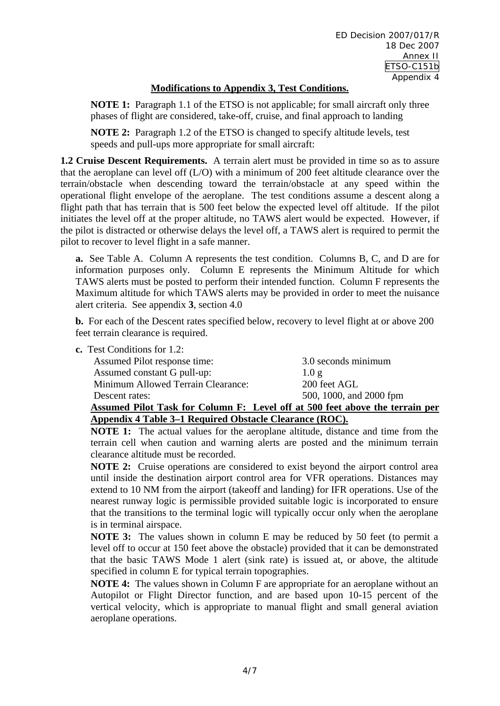# **Modifications to Appendix 3, Test Conditions.**

**NOTE 1:** Paragraph 1.1 of the ETSO is not applicable; for small aircraft only three phases of flight are considered, take-off, cruise, and final approach to landing

**NOTE 2:** Paragraph 1.2 of the ETSO is changed to specify altitude levels, test speeds and pull-ups more appropriate for small aircraft:

**1.2 Cruise Descent Requirements.** A terrain alert must be provided in time so as to assure that the aeroplane can level off (L/O) with a minimum of 200 feet altitude clearance over the terrain/obstacle when descending toward the terrain/obstacle at any speed within the operational flight envelope of the aeroplane. The test conditions assume a descent along a flight path that has terrain that is 500 feet below the expected level off altitude. If the pilot initiates the level off at the proper altitude, no TAWS alert would be expected. However, if the pilot is distracted or otherwise delays the level off, a TAWS alert is required to permit the pilot to recover to level flight in a safe manner.

**a.** See Table A. Column A represents the test condition. Columns B, C, and D are for information purposes only. Column E represents the Minimum Altitude for which TAWS alerts must be posted to perform their intended function. Column F represents the Maximum altitude for which TAWS alerts may be provided in order to meet the nuisance alert criteria. See appendix **3**, section 4.0

**b.** For each of the Descent rates specified below, recovery to level flight at or above 200 feet terrain clearance is required.

**c.** Test Conditions for 1.2:

|                                    | Assumed Pilot Task for Column F: Level off at 500 feet above the terrain per |
|------------------------------------|------------------------------------------------------------------------------|
| Descent rates:                     | 500, 1000, and 2000 fpm                                                      |
| Minimum Allowed Terrain Clearance: | 200 feet AGL                                                                 |
| Assumed constant G pull-up:        | $1.0 \sigma$                                                                 |
| Assumed Pilot response time:       | 3.0 seconds minimum                                                          |
|                                    |                                                                              |

# **Appendix 4 Table 3–1 Required Obstacle Clearance (ROC).**

**NOTE 1:** The actual values for the aeroplane altitude, distance and time from the terrain cell when caution and warning alerts are posted and the minimum terrain clearance altitude must be recorded.

**NOTE 2:** Cruise operations are considered to exist beyond the airport control area until inside the destination airport control area for VFR operations. Distances may extend to 10 NM from the airport (takeoff and landing) for IFR operations. Use of the nearest runway logic is permissible provided suitable logic is incorporated to ensure that the transitions to the terminal logic will typically occur only when the aeroplane is in terminal airspace.

**NOTE 3:** The values shown in column E may be reduced by 50 feet (to permit a level off to occur at 150 feet above the obstacle) provided that it can be demonstrated that the basic TAWS Mode 1 alert (sink rate) is issued at, or above, the altitude specified in column E for typical terrain topographies.

**NOTE 4:** The values shown in Column F are appropriate for an aeroplane without an Autopilot or Flight Director function, and are based upon 10-15 percent of the vertical velocity, which is appropriate to manual flight and small general aviation aeroplane operations.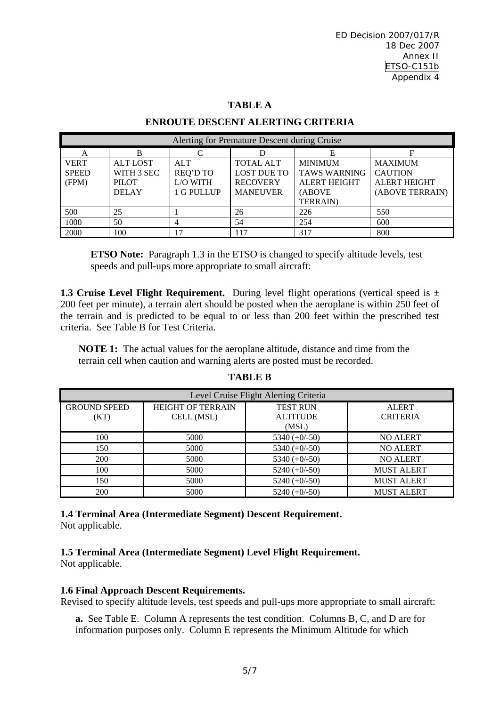### **TABLE A**

### **ENROUTE DESCENT ALERTING CRITERIA**

| Alerting for Premature Descent during Cruise |                 |                   |                    |                     |                     |
|----------------------------------------------|-----------------|-------------------|--------------------|---------------------|---------------------|
| A                                            |                 | $\mathsf{\Gamma}$ |                    | Е                   |                     |
| <b>VERT</b>                                  | <b>ALT LOST</b> | <b>ALT</b>        | <b>TOTAL ALT</b>   | <b>MINIMUM</b>      | <b>MAXIMUM</b>      |
| <b>SPEED</b>                                 | WITH 3 SEC      | <b>REQ'D TO</b>   | <b>LOST DUE TO</b> | <b>TAWS WARNING</b> | <b>CAUTION</b>      |
| (FPM)                                        | <b>PILOT</b>    | L/O WITH          | <b>RECOVERY</b>    | <b>ALERT HEIGHT</b> | <b>ALERT HEIGHT</b> |
|                                              | <b>DELAY</b>    | 1 G PULLUP        | <b>MANEUVER</b>    | (ABOVE              | (ABOVE TERRAIN)     |
|                                              |                 |                   |                    | <b>TERRAIN</b> )    |                     |
| 500                                          | 25              |                   | 26                 | 226                 | 550                 |
| 1000                                         | 50              |                   | 54                 | 254                 | 600                 |
| 2000                                         | 100             | 17                | 117                | 317                 | 800                 |

**ETSO Note:** Paragraph 1.3 in the ETSO is changed to specify altitude levels, test speeds and pull-ups more appropriate to small aircraft:

**1.3 Cruise Level Flight Requirement.** During level flight operations (vertical speed is  $\pm$ 200 feet per minute), a terrain alert should be posted when the aeroplane is within 250 feet of the terrain and is predicted to be equal to or less than 200 feet within the prescribed test criteria. See Table B for Test Criteria.

**NOTE 1:** The actual values for the aeroplane altitude, distance and time from the terrain cell when caution and warning alerts are posted must be recorded.

| Level Cruise Flight Alerting Criteria |                                        |                                    |                                 |  |  |  |
|---------------------------------------|----------------------------------------|------------------------------------|---------------------------------|--|--|--|
| <b>GROUND SPEED</b>                   | <b>HEIGHT OF TERRAIN</b><br>CELL (MSL) | <b>TEST RUN</b><br><b>ALTITUDE</b> | <b>ALERT</b><br><b>CRITERIA</b> |  |  |  |
| (KT)                                  |                                        | (MSL)                              |                                 |  |  |  |
| 100                                   | 5000                                   | $5340 (+0/-50)$                    | <b>NO ALERT</b>                 |  |  |  |
| 150                                   | 5000                                   | 5340 $(+0/-50)$                    | <b>NO ALERT</b>                 |  |  |  |
| 200                                   | 5000                                   | $5340 (+0/-50)$                    | <b>NO ALERT</b>                 |  |  |  |
| 100                                   | 5000                                   | $5240 (+0/-50)$                    | <b>MUST ALERT</b>               |  |  |  |
| 150                                   | 5000                                   | $5240 (+0/-50)$                    | <b>MUST ALERT</b>               |  |  |  |
| 200                                   | 5000                                   | $5240 (+0/-50)$                    | <b>MUST ALERT</b>               |  |  |  |

# **TABLE B**

**1.4 Terminal Area (Intermediate Segment) Descent Requirement.**  Not applicable.

# **1.5 Terminal Area (Intermediate Segment) Level Flight Requirement.**

Not applicable.

### **1.6 Final Approach Descent Requirements.**

Revised to specify altitude levels, test speeds and pull-ups more appropriate to small aircraft:

**a.** See Table E. Column A represents the test condition. Columns B, C, and D are for information purposes only. Column E represents the Minimum Altitude for which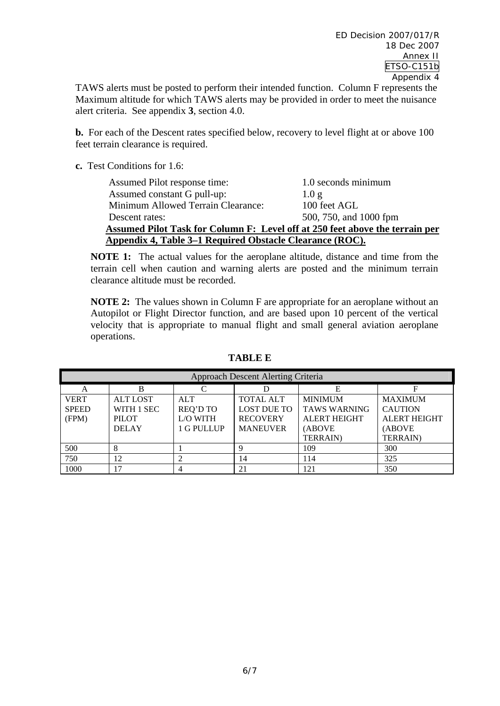TAWS alerts must be posted to perform their intended function. Column F represents the Maximum altitude for which TAWS alerts may be provided in order to meet the nuisance alert criteria. See appendix **3**, section 4.0.

**b.** For each of the Descent rates specified below, recovery to level flight at or above 100 feet terrain clearance is required.

**c.** Test Conditions for 1.6:

| Assumed Pilot response time:                                                        | 1.0 seconds minimum    |  |  |  |  |
|-------------------------------------------------------------------------------------|------------------------|--|--|--|--|
| Assumed constant G pull-up:                                                         | 1.0 g                  |  |  |  |  |
| Minimum Allowed Terrain Clearance:                                                  | 100 feet AGL           |  |  |  |  |
| Descent rates:                                                                      | 500, 750, and 1000 fpm |  |  |  |  |
| <b>Assumed Pilot Task for Column F: Level off at 250 feet above the terrain per</b> |                        |  |  |  |  |
| <u>Appendix 4, Table 3–1 Required Obstacle Clearance (ROC).</u>                     |                        |  |  |  |  |

**NOTE 1:** The actual values for the aeroplane altitude, distance and time from the terrain cell when caution and warning alerts are posted and the minimum terrain clearance altitude must be recorded.

**NOTE 2:** The values shown in Column F are appropriate for an aeroplane without an Autopilot or Flight Director function, and are based upon 10 percent of the vertical velocity that is appropriate to manual flight and small general aviation aeroplane operations.

| <b>Approach Descent Alerting Criteria</b> |                 |                 |                    |                     |                     |
|-------------------------------------------|-----------------|-----------------|--------------------|---------------------|---------------------|
| A                                         |                 |                 |                    |                     |                     |
| <b>VERT</b>                               | <b>ALT LOST</b> | <b>ALT</b>      | <b>TOTAL ALT</b>   | <b>MINIMUM</b>      | <b>MAXIMUM</b>      |
| <b>SPEED</b>                              | WITH 1 SEC      | <b>REQ'D TO</b> | <b>LOST DUE TO</b> | <b>TAWS WARNING</b> | <b>CAUTION</b>      |
| (FPM)                                     | <b>PILOT</b>    | L/O WITH        | <b>RECOVERY</b>    | <b>ALERT HEIGHT</b> | <b>ALERT HEIGHT</b> |
|                                           | <b>DELAY</b>    | 1 G PULLUP      | <b>MANEUVER</b>    | (ABOVE              | (ABOVE              |
|                                           |                 |                 |                    | <b>TERRAIN</b> )    | <b>TERRAIN</b> )    |
| 500                                       |                 |                 |                    | 109                 | 300                 |
| 750                                       | 12              |                 | 14                 | 114                 | 325                 |
| 1000                                      | 17              |                 | 21                 | 121                 | 350                 |

**TABLE E**